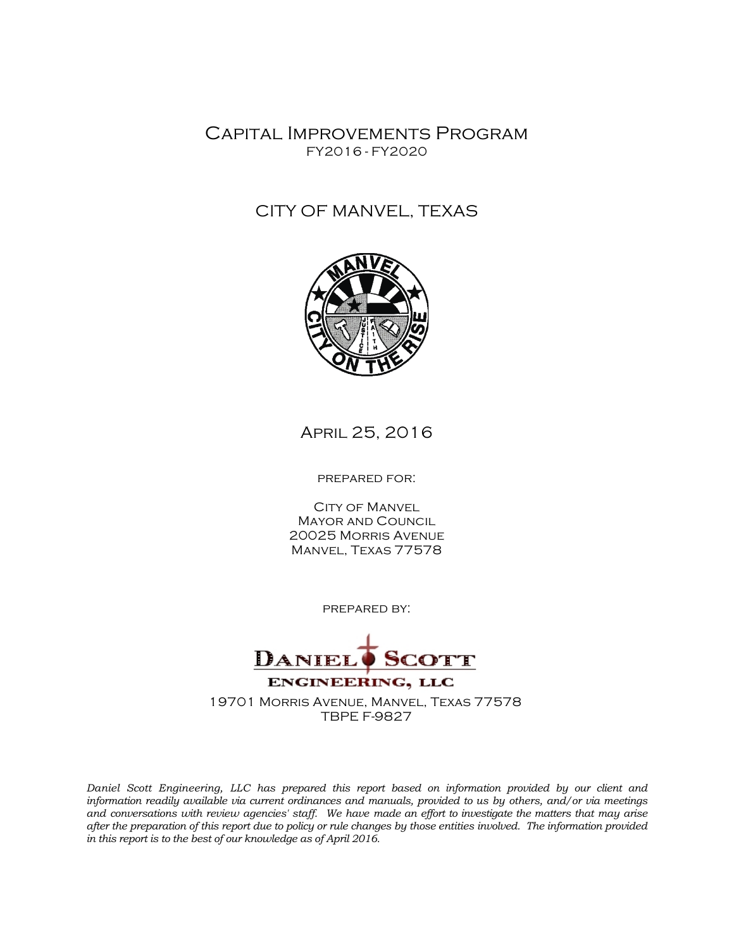Capital Improvements Program FY2016 - FY2020

## CITY OF MANVEL, TEXAS



April 25, 2016

prepared for:

**CITY OF MANVEL** Mayor and Council 20025 Morris Avenue Manvel, Texas 77578

prepared by:



*Daniel Scott Engineering, LLC has prepared this report based on information provided by our client and information readily available via current ordinances and manuals, provided to us by others, and/or via meetings and conversations with review agencies' staff. We have made an effort to investigate the matters that may arise after the preparation of this report due to policy or rule changes by those entities involved. The information provided in this report is to the best of our knowledge as of April 2016.*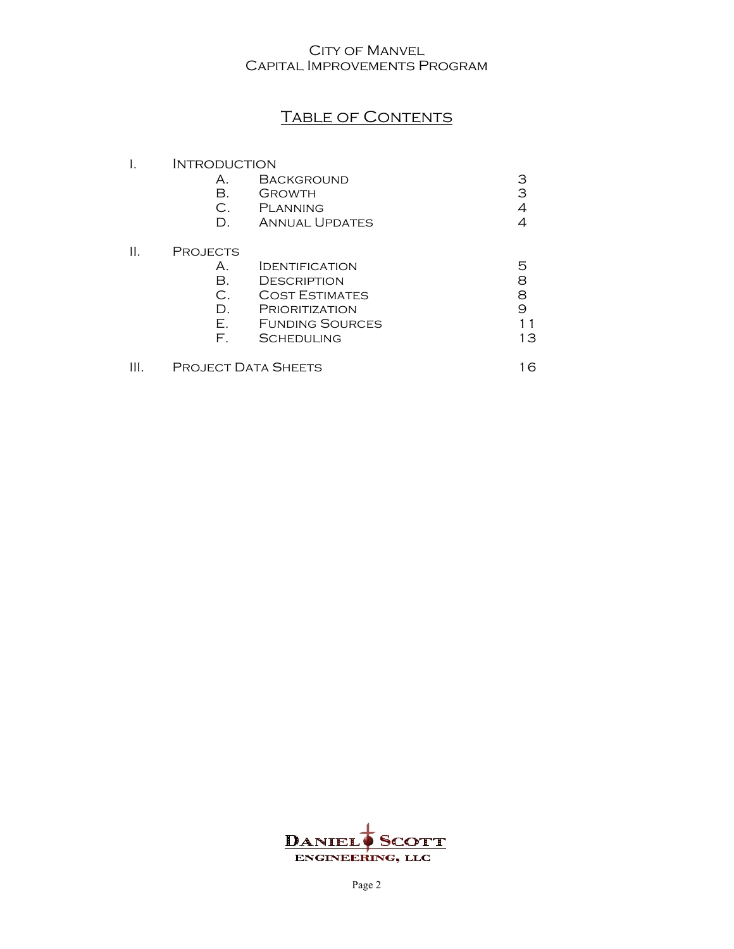# TABLE OF CONTENTS

| INTRODUCTION    |                        |    |
|-----------------|------------------------|----|
| А.              | <b>BACKGROUND</b>      | З  |
| В.              | GROWTH                 | 3  |
| C.              | <b>PLANNING</b>        |    |
| D.              | <b>ANNUAL UPDATES</b>  |    |
| <b>PROJECTS</b> |                        |    |
| А.              | <b>IDENTIFICATION</b>  | 5  |
| $\mathsf{B}$ .  | <b>DESCRIPTION</b>     | 8  |
| C.              | <b>COST ESTIMATES</b>  | 8  |
| D.              | PRIORITIZATION         | 9  |
| Е.              | <b>FUNDING SOURCES</b> |    |
| F.              | <b>SCHEDULING</b>      | 13 |
|                 |                        |    |

III. PROJECT DATA SHEETS 16

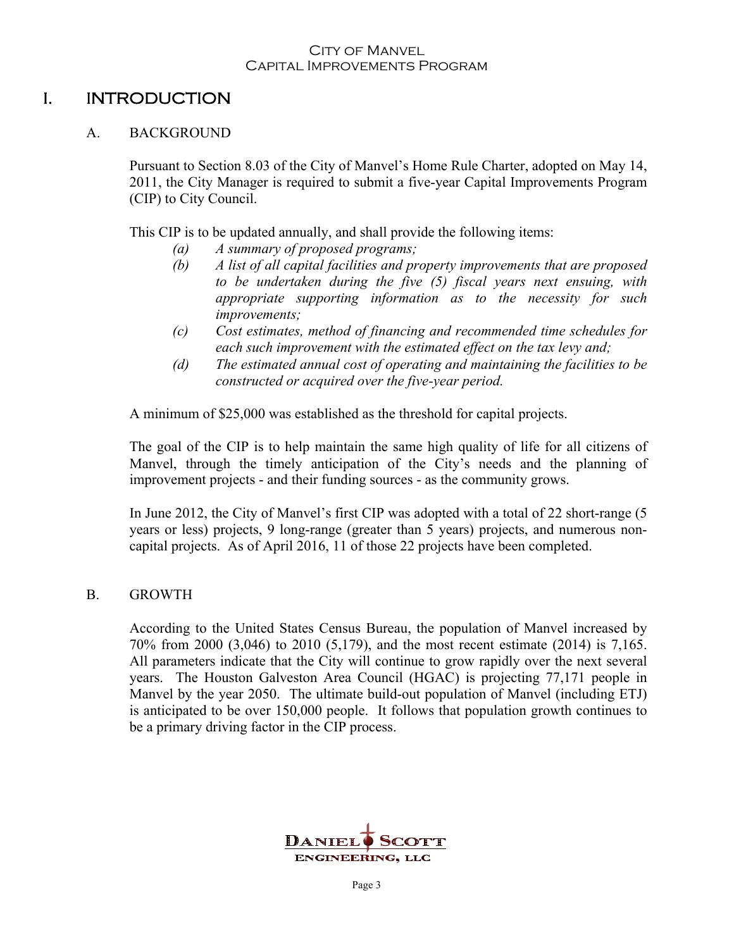## I. INTRODUCTION

## A. BACKGROUND

Pursuant to Section 8.03 of the City of Manvel's Home Rule Charter, adopted on May 14, 2011, the City Manager is required to submit a five-year Capital Improvements Program (CIP) to City Council.

This CIP is to be updated annually, and shall provide the following items:

- *(a) A summary of proposed programs;*
- *(b) A list of all capital facilities and property improvements that are proposed to be undertaken during the five (5) fiscal years next ensuing, with appropriate supporting information as to the necessity for such improvements;*
- *(c) Cost estimates, method of financing and recommended time schedules for each such improvement with the estimated effect on the tax levy and;*
- *(d) The estimated annual cost of operating and maintaining the facilities to be constructed or acquired over the five-year period.*

A minimum of \$25,000 was established as the threshold for capital projects.

The goal of the CIP is to help maintain the same high quality of life for all citizens of Manvel, through the timely anticipation of the City's needs and the planning of improvement projects - and their funding sources - as the community grows.

In June 2012, the City of Manvel's first CIP was adopted with a total of 22 short-range (5 years or less) projects, 9 long-range (greater than 5 years) projects, and numerous noncapital projects. As of April 2016, 11 of those 22 projects have been completed.

## B. GROWTH

According to the United States Census Bureau, the population of Manvel increased by 70% from 2000 (3,046) to 2010 (5,179), and the most recent estimate (2014) is 7,165. All parameters indicate that the City will continue to grow rapidly over the next several years. The Houston Galveston Area Council (HGAC) is projecting 77,171 people in Manvel by the year 2050. The ultimate build-out population of Manvel (including ETJ) is anticipated to be over 150,000 people. It follows that population growth continues to be a primary driving factor in the CIP process.

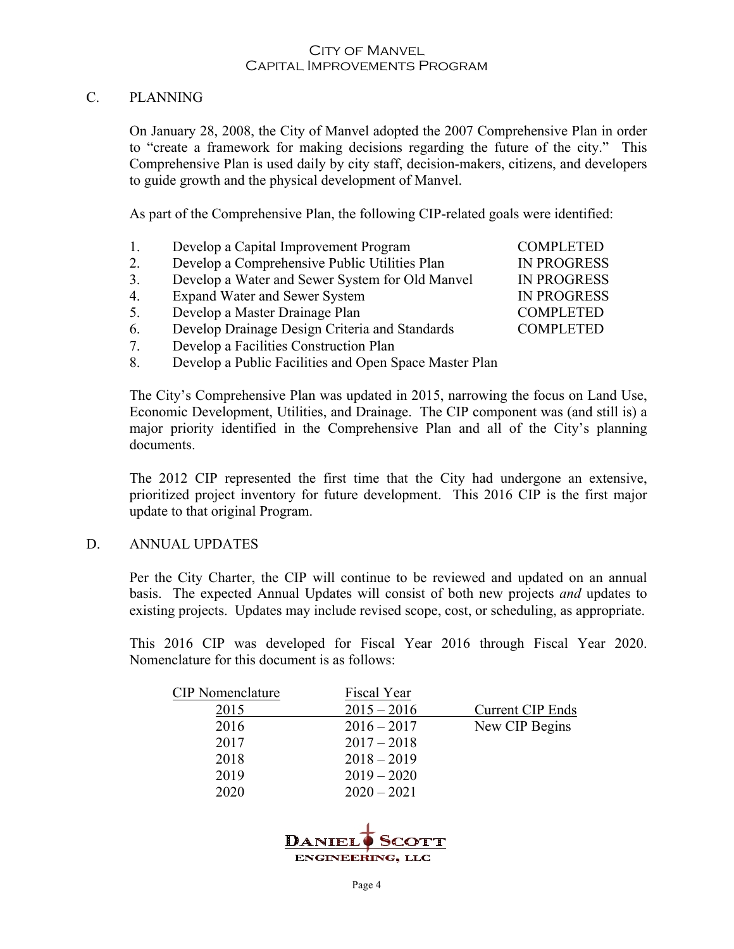## C. PLANNING

On January 28, 2008, the City of Manvel adopted the 2007 Comprehensive Plan in order to "create a framework for making decisions regarding the future of the city." This Comprehensive Plan is used daily by city staff, decision-makers, citizens, and developers to guide growth and the physical development of Manvel.

As part of the Comprehensive Plan, the following CIP-related goals were identified:

- 1. Develop a Capital Improvement Program COMPLETED
- 2. Develop a Comprehensive Public Utilities Plan IN PROGRESS
- 3. Develop a Water and Sewer System for Old Manvel IN PROGRESS
- 4. Expand Water and Sewer System IN PROGRESS
- 5. Develop a Master Drainage Plan COMPLETED
- 6. Develop Drainage Design Criteria and Standards COMPLETED
- 7. Develop a Facilities Construction Plan
- 8. Develop a Public Facilities and Open Space Master Plan

The City's Comprehensive Plan was updated in 2015, narrowing the focus on Land Use, Economic Development, Utilities, and Drainage. The CIP component was (and still is) a major priority identified in the Comprehensive Plan and all of the City's planning documents.

The 2012 CIP represented the first time that the City had undergone an extensive, prioritized project inventory for future development. This 2016 CIP is the first major update to that original Program.

#### D. ANNUAL UPDATES

Per the City Charter, the CIP will continue to be reviewed and updated on an annual basis. The expected Annual Updates will consist of both new projects *and* updates to existing projects. Updates may include revised scope, cost, or scheduling, as appropriate.

This 2016 CIP was developed for Fiscal Year 2016 through Fiscal Year 2020. Nomenclature for this document is as follows:

| <b>CIP</b> Nomenclature | Fiscal Year   |                         |
|-------------------------|---------------|-------------------------|
| 2015                    | $2015 - 2016$ | <b>Current CIP Ends</b> |
| 2016                    | $2016 - 2017$ | New CIP Begins          |
| 2017                    | $2017 - 2018$ |                         |
| 2018                    | $2018 - 2019$ |                         |
| 2019                    | $2019 - 2020$ |                         |
| 2020                    | $2020 - 2021$ |                         |
|                         |               |                         |

DANIEI **ENGINEERING, LLC** 

Page 4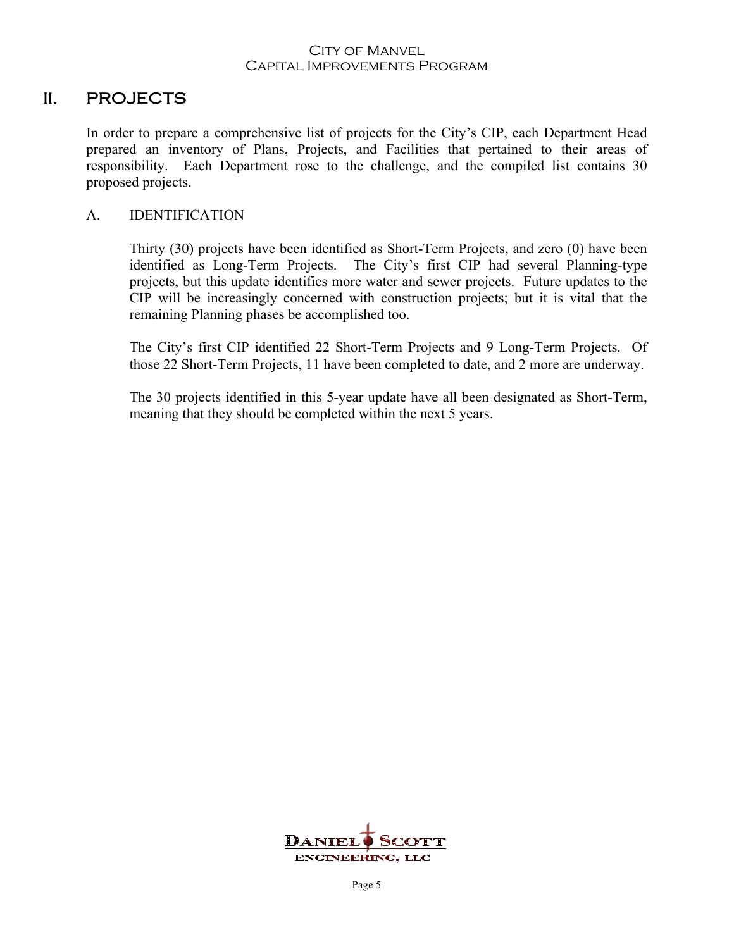## II. PROJECTS

In order to prepare a comprehensive list of projects for the City's CIP, each Department Head prepared an inventory of Plans, Projects, and Facilities that pertained to their areas of responsibility. Each Department rose to the challenge, and the compiled list contains 30 proposed projects.

## A. IDENTIFICATION

Thirty (30) projects have been identified as Short-Term Projects, and zero (0) have been identified as Long-Term Projects. The City's first CIP had several Planning-type projects, but this update identifies more water and sewer projects. Future updates to the CIP will be increasingly concerned with construction projects; but it is vital that the remaining Planning phases be accomplished too.

The City's first CIP identified 22 Short-Term Projects and 9 Long-Term Projects. Of those 22 Short-Term Projects, 11 have been completed to date, and 2 more are underway.

The 30 projects identified in this 5-year update have all been designated as Short-Term, meaning that they should be completed within the next 5 years.

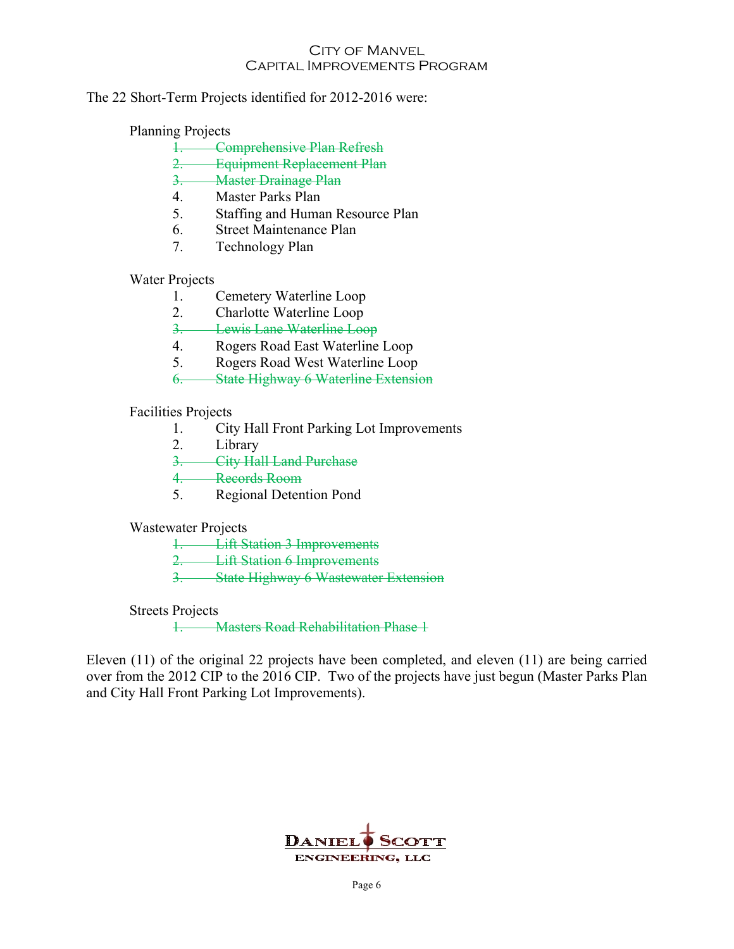#### The 22 Short-Term Projects identified for 2012-2016 were:

## Planning Projects

- 1. Comprehensive Plan Refresh
- 2. Equipment Replacement Plan
- 3. Master Drainage Plan
- 4. Master Parks Plan
- 5. Staffing and Human Resource Plan
- 6. Street Maintenance Plan
- 7. Technology Plan

## Water Projects

- 1. Cemetery Waterline Loop
- 2. Charlotte Waterline Loop
- 3. Lewis Lane Waterline Loop
- 4. Rogers Road East Waterline Loop
- 5. Rogers Road West Waterline Loop
- 6. State Highway 6 Waterline Extension

## Facilities Projects

- 1. City Hall Front Parking Lot Improvements
- 2. Library
- 3. City Hall Land Purchase
- 4. Records Room
- 5. Regional Detention Pond

#### Wastewater Projects

- 1. Lift Station 3 Improvements
- 2. Lift Station 6 Improvements
- 3. State Highway 6 Wastewater Extension

#### Streets Projects

1. Masters Road Rehabilitation Phase 1

Eleven (11) of the original 22 projects have been completed, and eleven (11) are being carried over from the 2012 CIP to the 2016 CIP. Two of the projects have just begun (Master Parks Plan and City Hall Front Parking Lot Improvements).

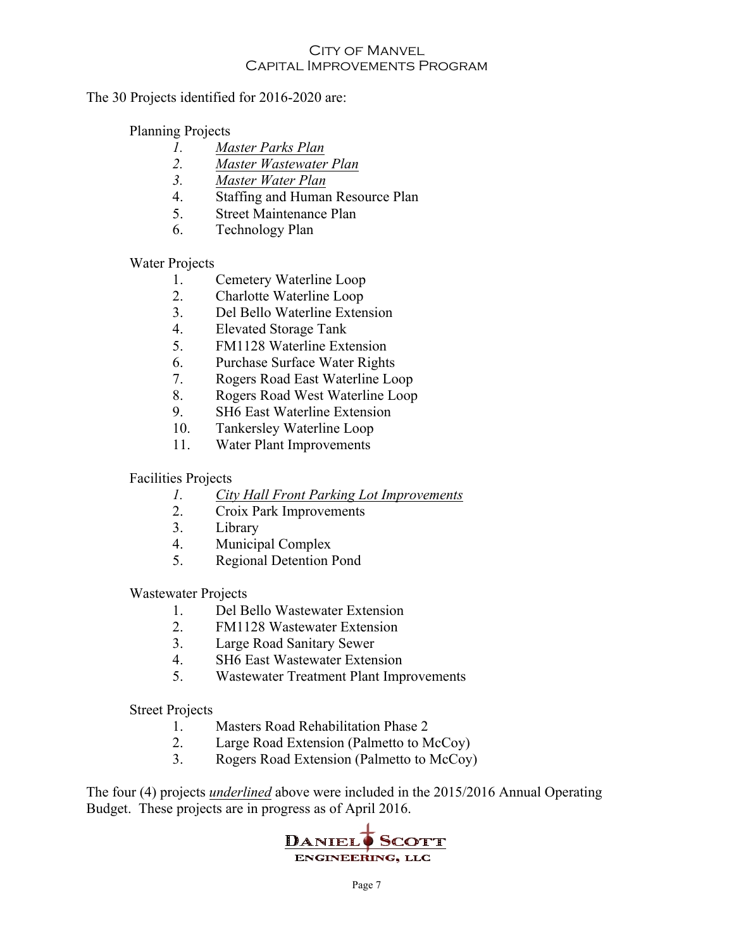#### The 30 Projects identified for 2016-2020 are:

## Planning Projects

- *1. Master Parks Plan*
- *2. Master Wastewater Plan*
- *3. Master Water Plan*
- 4. Staffing and Human Resource Plan
- 5. Street Maintenance Plan
- 6. Technology Plan

## Water Projects

- 1. Cemetery Waterline Loop
- 2. Charlotte Waterline Loop
- 3. Del Bello Waterline Extension
- 4. Elevated Storage Tank
- 5. FM1128 Waterline Extension
- 6. Purchase Surface Water Rights
- 7. Rogers Road East Waterline Loop
- 8. Rogers Road West Waterline Loop
- 9. SH6 East Waterline Extension
- 10. Tankersley Waterline Loop
- 11. Water Plant Improvements

## Facilities Projects

- *1. City Hall Front Parking Lot Improvements*
- 2. Croix Park Improvements
- 3. Library
- 4. Municipal Complex
- 5. Regional Detention Pond

Wastewater Projects

- 1. Del Bello Wastewater Extension
- 2. FM1128 Wastewater Extension
- 3. Large Road Sanitary Sewer
- 4. SH6 East Wastewater Extension
- 5. Wastewater Treatment Plant Improvements

Street Projects

- 1. Masters Road Rehabilitation Phase 2
- 2. Large Road Extension (Palmetto to McCoy)
- 3. Rogers Road Extension (Palmetto to McCoy)

The four (4) projects *underlined* above were included in the 2015/2016 Annual Operating Budget. These projects are in progress as of April 2016.

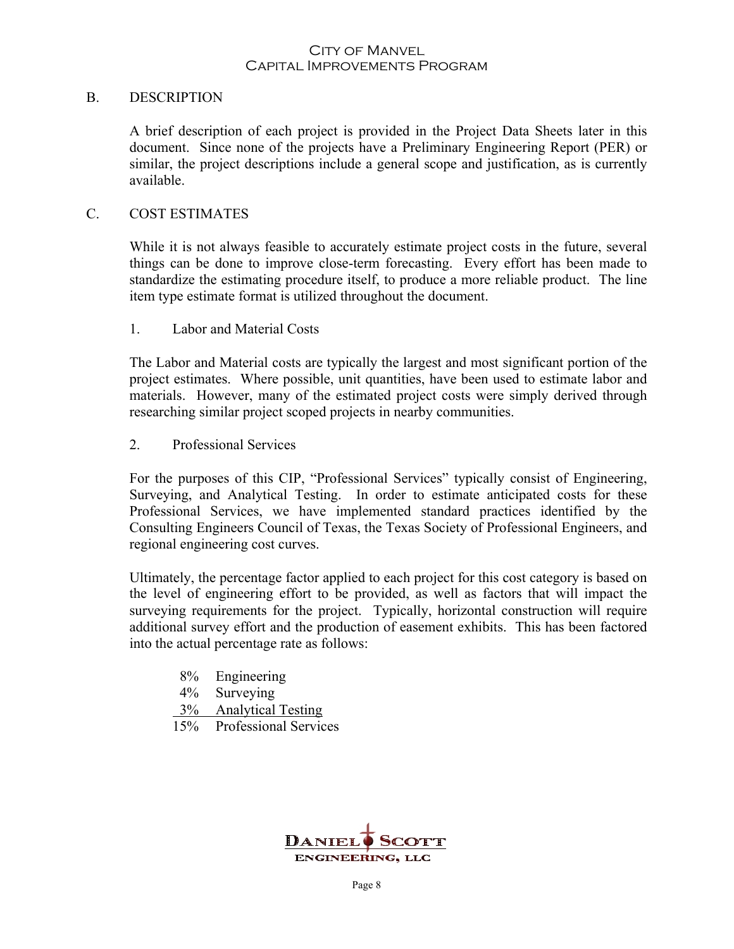#### B. DESCRIPTION

A brief description of each project is provided in the Project Data Sheets later in this document. Since none of the projects have a Preliminary Engineering Report (PER) or similar, the project descriptions include a general scope and justification, as is currently available.

#### C. COST ESTIMATES

While it is not always feasible to accurately estimate project costs in the future, several things can be done to improve close-term forecasting. Every effort has been made to standardize the estimating procedure itself, to produce a more reliable product. The line item type estimate format is utilized throughout the document.

1. Labor and Material Costs

The Labor and Material costs are typically the largest and most significant portion of the project estimates. Where possible, unit quantities, have been used to estimate labor and materials. However, many of the estimated project costs were simply derived through researching similar project scoped projects in nearby communities.

2. Professional Services

For the purposes of this CIP, "Professional Services" typically consist of Engineering, Surveying, and Analytical Testing. In order to estimate anticipated costs for these Professional Services, we have implemented standard practices identified by the Consulting Engineers Council of Texas, the Texas Society of Professional Engineers, and regional engineering cost curves.

Ultimately, the percentage factor applied to each project for this cost category is based on the level of engineering effort to be provided, as well as factors that will impact the surveying requirements for the project. Typically, horizontal construction will require additional survey effort and the production of easement exhibits. This has been factored into the actual percentage rate as follows:

- 8% Engineering
- 4% Surveying
- 3% Analytical Testing
- 15% Professional Services

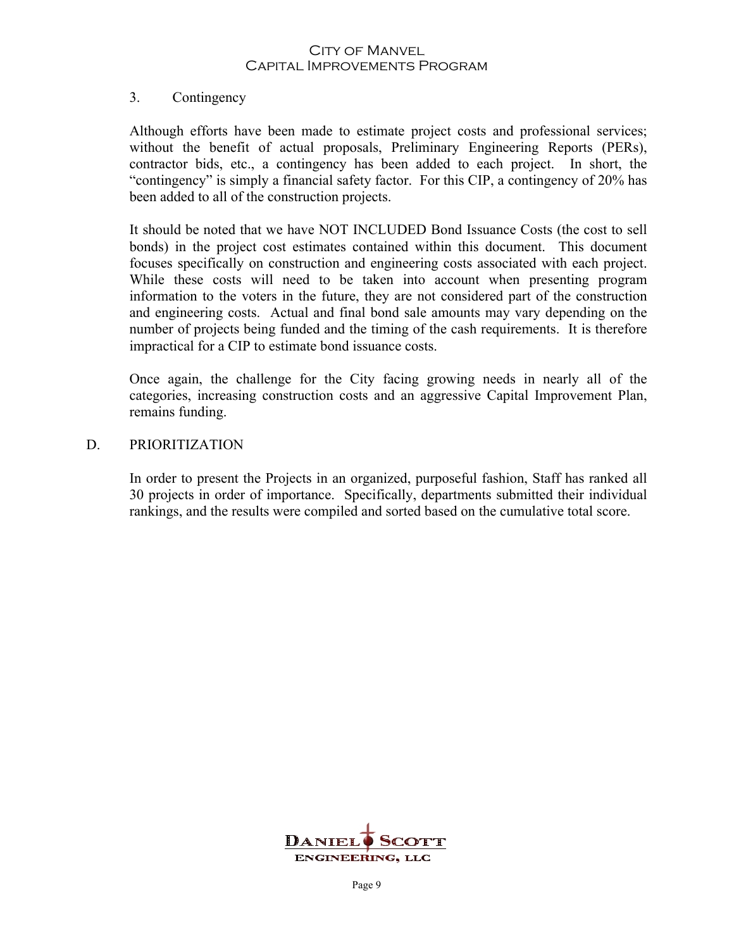#### 3. Contingency

Although efforts have been made to estimate project costs and professional services; without the benefit of actual proposals, Preliminary Engineering Reports (PERs), contractor bids, etc., a contingency has been added to each project. In short, the "contingency" is simply a financial safety factor. For this CIP, a contingency of 20% has been added to all of the construction projects.

It should be noted that we have NOT INCLUDED Bond Issuance Costs (the cost to sell bonds) in the project cost estimates contained within this document. This document focuses specifically on construction and engineering costs associated with each project. While these costs will need to be taken into account when presenting program information to the voters in the future, they are not considered part of the construction and engineering costs. Actual and final bond sale amounts may vary depending on the number of projects being funded and the timing of the cash requirements. It is therefore impractical for a CIP to estimate bond issuance costs.

Once again, the challenge for the City facing growing needs in nearly all of the categories, increasing construction costs and an aggressive Capital Improvement Plan, remains funding.

#### D. PRIORITIZATION

In order to present the Projects in an organized, purposeful fashion, Staff has ranked all 30 projects in order of importance. Specifically, departments submitted their individual rankings, and the results were compiled and sorted based on the cumulative total score.

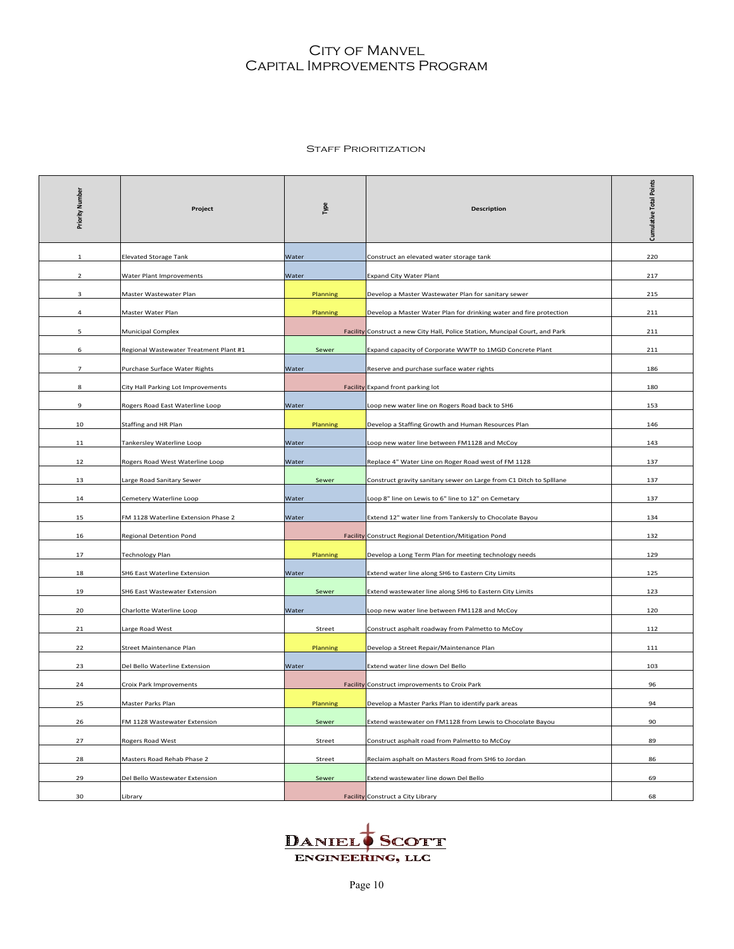#### **STAFF PRIORITIZATION**

| Priority Number          | Project                                | Type         | <b>Description</b>                                                           | <b>Cumulative Total Points</b> |
|--------------------------|----------------------------------------|--------------|------------------------------------------------------------------------------|--------------------------------|
| 1                        | <b>Elevated Storage Tank</b>           | Water        | Construct an elevated water storage tank                                     | 220                            |
| $\overline{2}$           | <b>Water Plant Improvements</b>        | <u>Water</u> | <b>Expand City Water Plant</b>                                               | 217                            |
| 3                        | Master Wastewater Plan                 | Planning     | Develop a Master Wastewater Plan for sanitary sewer                          | 215                            |
| 4                        | Master Water Plan                      | Planning     | Develop a Master Water Plan for drinking water and fire protection           | 211                            |
| 5                        | <b>Municipal Complex</b>               |              | Facility Construct a new City Hall, Police Station, Muncipal Court, and Park | 211                            |
| 6                        | Regional Wastewater Treatment Plant #1 | Sewer        | Expand capacity of Corporate WWTP to 1MGD Concrete Plant                     | 211                            |
| $\overline{\phantom{a}}$ | Purchase Surface Water Rights          | Water        | Reserve and purchase surface water rights                                    | 186                            |
| 8                        | City Hall Parking Lot Improvements     |              | Facility Expand front parking lot                                            | 180                            |
| 9                        | Rogers Road East Waterline Loop        | Water        | Loop new water line on Rogers Road back to SH6                               | 153                            |
| 10                       | Staffing and HR Plan                   | Planning     | Develop a Staffing Growth and Human Resources Plan                           | 146                            |
| 11                       | Tankersley Waterline Loop              | Water        | Loop new water line between FM1128 and McCoy                                 | 143                            |
| 12                       | Rogers Road West Waterline Loop        | Water        | Replace 4" Water Line on Roger Road west of FM 1128                          | 137                            |
| 13                       | Large Road Sanitary Sewer              | Sewer        | Construct gravity sanitary sewer on Large from C1 Ditch to Splllane          | 137                            |
| 14                       | Cemetery Waterline Loop                | Water        | Loop 8" line on Lewis to 6" line to 12" on Cemetary                          | 137                            |
| 15                       | FM 1128 Waterline Extension Phase 2    | Water        | Extend 12" water line from Tankersly to Chocolate Bayou                      | 134                            |
| 16                       | <b>Regional Detention Pond</b>         |              | Facility Construct Regional Detention/Mitigation Pond                        | 132                            |
| 17                       | <b>Technology Plan</b>                 | Planning     | Develop a Long Term Plan for meeting technology needs                        | 129                            |
| 18                       | SH6 East Waterline Extension           | Water        | Extend water line along SH6 to Eastern City Limits                           | 125                            |
| 19                       | <b>SH6 East Wastewater Extension</b>   | Sewer        | Extend wastewater line along SH6 to Eastern City Limits                      | 123                            |
| 20                       | Charlotte Waterline Loop               | Water        | Loop new water line between FM1128 and McCoy                                 | 120                            |
| 21                       | Large Road West                        | Street       | Construct asphalt roadway from Palmetto to McCoy                             | 112                            |
| 22                       | Street Maintenance Plan                | Planning     | Develop a Street Repair/Maintenance Plan                                     | 111                            |
| 23                       | Del Bello Waterline Extension          | Water        | Extend water line down Del Bello                                             | 103                            |
| 24                       | Croix Park Improvements                |              | Facility Construct improvements to Croix Park                                | 96                             |
| 25                       | Master Parks Plan                      | Planning     | Develop a Master Parks Plan to identify park areas                           | 94                             |
| 26                       | FM 1128 Wastewater Extension           | Sewer        | Extend wastewater on FM1128 from Lewis to Chocolate Bayou                    | 90                             |
| 27                       | Rogers Road West                       | Street       | Construct asphalt road from Palmetto to McCoy                                | 89                             |
| 28                       | Masters Road Rehab Phase 2             | Street       | Reclaim asphalt on Masters Road from SH6 to Jordan                           | 86                             |
| 29                       | Del Bello Wastewater Extension         | Sewer        | Extend wastewater line down Del Bello                                        | 69                             |
| 30                       | Library                                |              | Facility Construct a City Library                                            | 68                             |

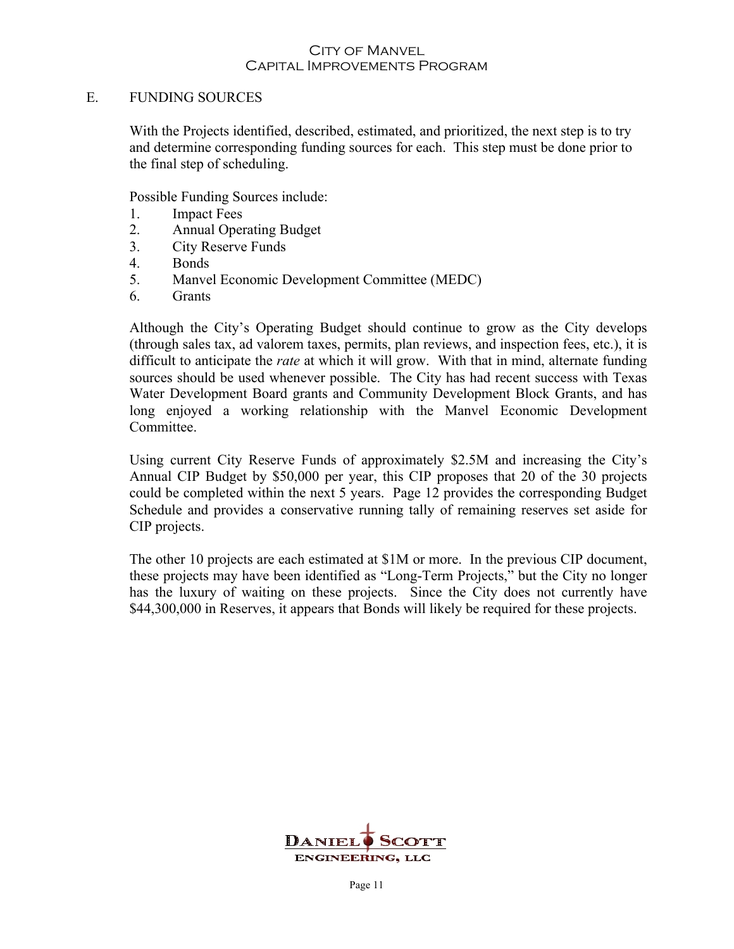#### E. FUNDING SOURCES

With the Projects identified, described, estimated, and prioritized, the next step is to try and determine corresponding funding sources for each. This step must be done prior to the final step of scheduling.

Possible Funding Sources include:

- 1. Impact Fees
- 2. Annual Operating Budget
- 3. City Reserve Funds
- 4. Bonds
- 5. Manvel Economic Development Committee (MEDC)
- 6. Grants

Although the City's Operating Budget should continue to grow as the City develops (through sales tax, ad valorem taxes, permits, plan reviews, and inspection fees, etc.), it is difficult to anticipate the *rate* at which it will grow. With that in mind, alternate funding sources should be used whenever possible. The City has had recent success with Texas Water Development Board grants and Community Development Block Grants, and has long enjoyed a working relationship with the Manvel Economic Development Committee.

Using current City Reserve Funds of approximately \$2.5M and increasing the City's Annual CIP Budget by \$50,000 per year, this CIP proposes that 20 of the 30 projects could be completed within the next 5 years. Page 12 provides the corresponding Budget Schedule and provides a conservative running tally of remaining reserves set aside for CIP projects.

The other 10 projects are each estimated at \$1M or more. In the previous CIP document, these projects may have been identified as "Long-Term Projects," but the City no longer has the luxury of waiting on these projects. Since the City does not currently have \$44,300,000 in Reserves, it appears that Bonds will likely be required for these projects.

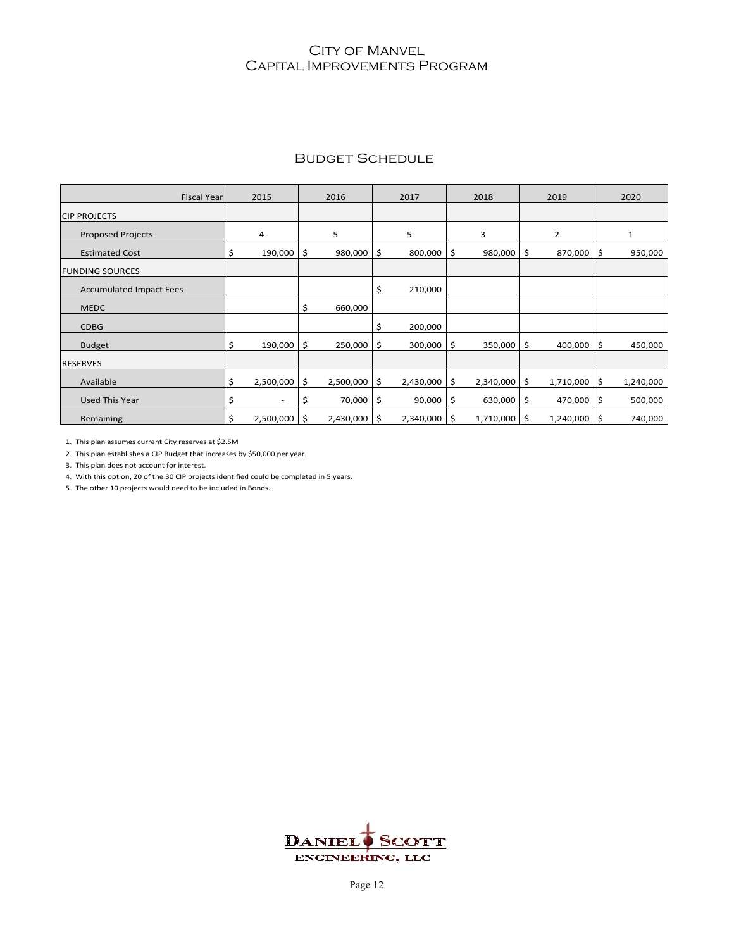|  | <b>BUDGET SCHEDULE</b> |
|--|------------------------|
|--|------------------------|

| <b>Fiscal Year</b>             |    | 2015                     | 2016            |    | 2017      | 2018            | 2019            |     | 2020         |
|--------------------------------|----|--------------------------|-----------------|----|-----------|-----------------|-----------------|-----|--------------|
| <b>CIP PROJECTS</b>            |    |                          |                 |    |           |                 |                 |     |              |
| <b>Proposed Projects</b>       |    | 4                        | 5               |    | 5         | 3               | 2               |     | $\mathbf{1}$ |
| <b>Estimated Cost</b>          |    | 190,000                  | \$<br>980,000   | \$ | 800,000   | \$<br>980,000   | \$<br>870,000   | S.  | 950,000      |
| <b>FUNDING SOURCES</b>         |    |                          |                 |    |           |                 |                 |     |              |
| <b>Accumulated Impact Fees</b> |    |                          |                 | \$ | 210,000   |                 |                 |     |              |
| <b>MEDC</b>                    |    |                          | \$<br>660,000   |    |           |                 |                 |     |              |
| <b>CDBG</b>                    |    |                          |                 | Ś  | 200,000   |                 |                 |     |              |
| <b>Budget</b>                  |    | 190,000                  | \$<br>250,000   | \$ | 300,000   | \$<br>350,000   | \$<br>400,000   | \$  | 450,000      |
| <b>RESERVES</b>                |    |                          |                 |    |           |                 |                 |     |              |
| Available                      | \$ | 2,500,000                | \$<br>2,500,000 | \$ | 2,430,000 | \$<br>2,340,000 | \$<br>1,710,000 | \$. | 1,240,000    |
| <b>Used This Year</b>          | S  | $\overline{\phantom{a}}$ | \$<br>70,000    | \$ | 90,000    | \$<br>630,000   | \$<br>470,000   | S.  | 500,000      |
| Remaining                      | \$ | 2,500,000                | \$<br>2,430,000 | Ŝ. | 2,340,000 | \$<br>1,710,000 | \$<br>1,240,000 | S.  | 740,000      |

1. This plan assumes current City reserves at \$2.5M

2. This plan establishes a CIP Budget that increases by \$50,000 per year.

3. This plan does not account for interest.

4. With this option, 20 of the 30 CIP projects identified could be completed in 5 years.

5. The other 10 projects would need to be included in Bonds.

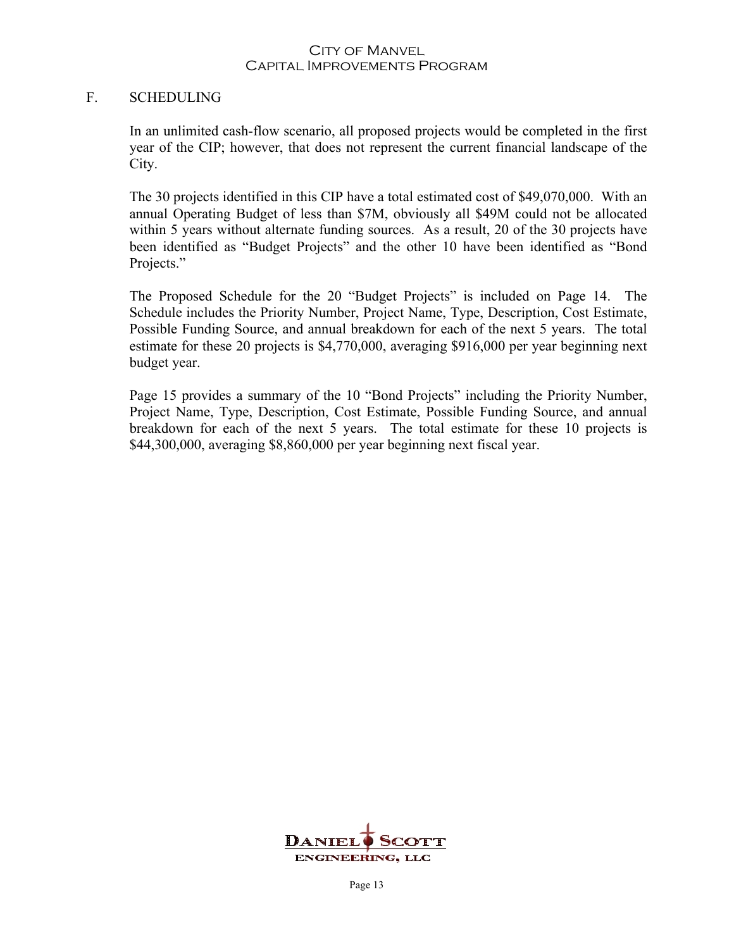#### F. SCHEDULING

In an unlimited cash-flow scenario, all proposed projects would be completed in the first year of the CIP; however, that does not represent the current financial landscape of the City.

The 30 projects identified in this CIP have a total estimated cost of \$49,070,000. With an annual Operating Budget of less than \$7M, obviously all \$49M could not be allocated within 5 years without alternate funding sources. As a result, 20 of the 30 projects have been identified as "Budget Projects" and the other 10 have been identified as "Bond Projects."

The Proposed Schedule for the 20 "Budget Projects" is included on Page 14. The Schedule includes the Priority Number, Project Name, Type, Description, Cost Estimate, Possible Funding Source, and annual breakdown for each of the next 5 years. The total estimate for these 20 projects is \$4,770,000, averaging \$916,000 per year beginning next budget year.

Page 15 provides a summary of the 10 "Bond Projects" including the Priority Number, Project Name, Type, Description, Cost Estimate, Possible Funding Source, and annual breakdown for each of the next 5 years. The total estimate for these 10 projects is \$44,300,000, averaging \$8,860,000 per year beginning next fiscal year.

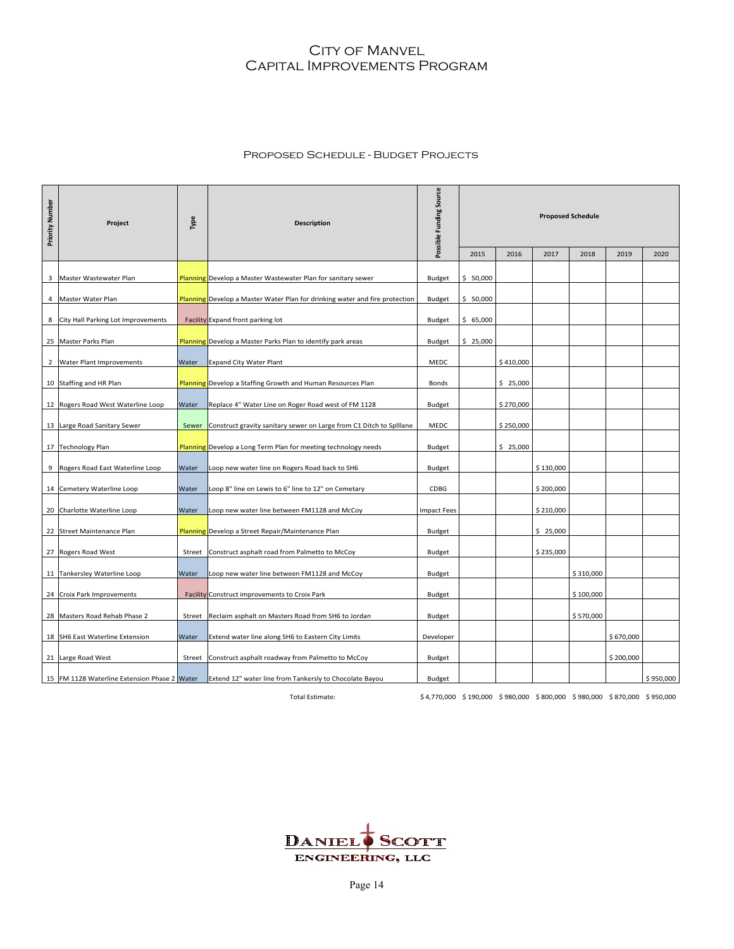#### Proposed Schedule - Budget Projects

| Priority Number | Project                                          | Type   | <b>Description</b>                                                          | Possible Funding Source                                                 | <b>Proposed Schedule</b> |           |           |           |           |           |
|-----------------|--------------------------------------------------|--------|-----------------------------------------------------------------------------|-------------------------------------------------------------------------|--------------------------|-----------|-----------|-----------|-----------|-----------|
|                 |                                                  |        |                                                                             |                                                                         | 2015                     | 2016      | 2017      | 2018      | 2019      | 2020      |
| 3               | Master Wastewater Plan                           |        | Planning Develop a Master Wastewater Plan for sanitary sewer                | Budget                                                                  | \$50,000                 |           |           |           |           |           |
| 4               | Master Water Plan                                |        | Planning Develop a Master Water Plan for drinking water and fire protection | Budget                                                                  | \$50,000                 |           |           |           |           |           |
| 8               | City Hall Parking Lot Improvements               |        | Facility Expand front parking lot                                           | Budget                                                                  | \$65,000                 |           |           |           |           |           |
|                 | 25 Master Parks Plan                             |        | Planning Develop a Master Parks Plan to identify park areas                 | Budget                                                                  | \$25,000                 |           |           |           |           |           |
| $\overline{2}$  | Water Plant Improvements                         | Water  | <b>Expand City Water Plant</b>                                              | MEDC                                                                    |                          | \$410,000 |           |           |           |           |
|                 | 10 Staffing and HR Plan                          |        | <b>Planning</b> Develop a Staffing Growth and Human Resources Plan          | Bonds                                                                   |                          | \$25,000  |           |           |           |           |
|                 |                                                  |        |                                                                             |                                                                         |                          |           |           |           |           |           |
|                 | 12 Rogers Road West Waterline Loop               | Water  | Replace 4" Water Line on Roger Road west of FM 1128                         | Budget                                                                  |                          | \$270,000 |           |           |           |           |
|                 | 13 Large Road Sanitary Sewer                     |        | Sewer Construct gravity sanitary sewer on Large from C1 Ditch to Splllane   | MEDC                                                                    |                          | \$250,000 |           |           |           |           |
|                 | 17 Technology Plan                               |        | <b>Planning</b> Develop a Long Term Plan for meeting technology needs       | Budget                                                                  |                          | \$25,000  |           |           |           |           |
|                 |                                                  |        |                                                                             |                                                                         |                          |           |           |           |           |           |
|                 | 9 Rogers Road East Waterline Loop                | Water  | Loop new water line on Rogers Road back to SH6                              | Budget                                                                  |                          |           | \$130,000 |           |           |           |
|                 | 14 Cemetery Waterline Loop                       | Water  | Loop 8" line on Lewis to 6" line to 12" on Cemetary                         | CDBG                                                                    |                          |           | \$200,000 |           |           |           |
|                 | 20 Charlotte Waterline Loop                      | Water  | Loop new water line between FM1128 and McCoy                                | <b>Impact Fees</b>                                                      |                          |           | \$210,000 |           |           |           |
|                 | 22 Street Maintenance Plan                       |        | Planning Develop a Street Repair/Maintenance Plan                           | Budget                                                                  |                          |           | \$25,000  |           |           |           |
|                 |                                                  |        |                                                                             |                                                                         |                          |           |           |           |           |           |
|                 | 27 Rogers Road West                              | Street | Construct asphalt road from Palmetto to McCoy                               | Budget                                                                  |                          |           | \$235,000 |           |           |           |
|                 | 11 Tankersley Waterline Loop                     | Water  | Loop new water line between FM1128 and McCoy                                | Budget                                                                  |                          |           |           | \$310,000 |           |           |
|                 | 24 Croix Park Improvements                       |        | Facility Construct improvements to Croix Park                               | Budget                                                                  |                          |           |           | \$100,000 |           |           |
|                 | 28 Masters Road Rehab Phase 2                    |        | Street   Reclaim asphalt on Masters Road from SH6 to Jordan                 | Budget                                                                  |                          |           |           | \$570,000 |           |           |
|                 | 18 SH6 East Waterline Extension                  | Water  | Extend water line along SH6 to Eastern City Limits                          | Developer                                                               |                          |           |           |           | \$670,000 |           |
|                 | 21 Large Road West                               |        | Street Construct asphalt roadway from Palmetto to McCoy                     | Budget                                                                  |                          |           |           |           | \$200,000 |           |
|                 | 15   FM 1128 Waterline Extension Phase 2   Water |        | Extend 12" water line from Tankersly to Chocolate Bayou                     | Budget                                                                  |                          |           |           |           |           | \$950,000 |
|                 |                                                  |        | Total Estimate:                                                             | \$4,770,000 \$190,000 \$980,000 \$800,000 \$980,000 \$870,000 \$950,000 |                          |           |           |           |           |           |

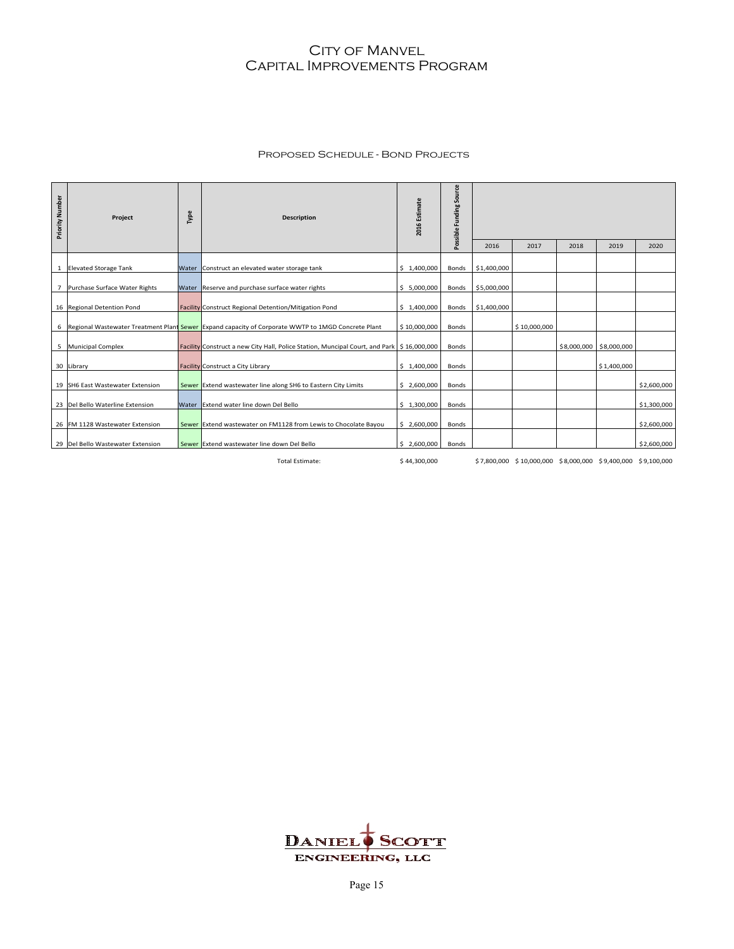#### Proposed Schedule - Bond Projects

| Priority Number | Project                           | Type | <b>Description</b>                                                                                   | 2016 Estimate | Possible Funding Source | 2016        | 2017                                                         | 2018 | 2019                    | 2020        |
|-----------------|-----------------------------------|------|------------------------------------------------------------------------------------------------------|---------------|-------------------------|-------------|--------------------------------------------------------------|------|-------------------------|-------------|
|                 |                                   |      |                                                                                                      |               |                         |             |                                                              |      |                         |             |
|                 | 1 Elevated Storage Tank           |      | Water Construct an elevated water storage tank                                                       | \$1,400,000   | Bonds                   | \$1,400,000 |                                                              |      |                         |             |
|                 | 7 Purchase Surface Water Rights   |      | Water Reserve and purchase surface water rights                                                      | \$5,000,000   | Bonds                   | \$5,000,000 |                                                              |      |                         |             |
|                 |                                   |      |                                                                                                      |               |                         |             |                                                              |      |                         |             |
|                 | 16 Regional Detention Pond        |      | Facility Construct Regional Detention/Mitigation Pond                                                | \$1,400,000   | Bonds                   | \$1,400,000 |                                                              |      |                         |             |
|                 |                                   |      | 6 Regional Wastewater Treatment Plant Sewer Expand capacity of Corporate WWTP to 1MGD Concrete Plant | \$10,000,000  | Bonds                   |             | \$10,000,000                                                 |      |                         |             |
|                 | 5 Municipal Complex               |      | Facility Construct a new City Hall, Police Station, Muncipal Court, and Park   \$16,000,000          |               | <b>Bonds</b>            |             |                                                              |      | \$8,000,000 \$8,000,000 |             |
|                 | 30 Library                        |      | Facility Construct a City Library                                                                    | \$1,400,000   | <b>Bonds</b>            |             |                                                              |      | \$1,400,000             |             |
|                 | 19 SH6 East Wastewater Extension  |      | Sewer Extend wastewater line along SH6 to Eastern City Limits                                        | \$2,600,000   | Bonds                   |             |                                                              |      |                         | \$2,600,000 |
|                 | 23 Del Bello Waterline Extension  |      | Water Extend water line down Del Bello                                                               | \$1,300,000   | <b>Bonds</b>            |             |                                                              |      |                         | \$1,300,000 |
|                 | 26 FM 1128 Wastewater Extension   |      | Sewer Extend wastewater on FM1128 from Lewis to Chocolate Bayou                                      | \$2,600,000   | <b>Bonds</b>            |             |                                                              |      |                         | \$2,600,000 |
|                 | 29 Del Bello Wastewater Extension |      | Sewer Extend wastewater line down Del Bello                                                          | \$2,600,000   | Bonds                   |             |                                                              |      |                         | \$2,600,000 |
|                 |                                   |      | <b>Total Estimate:</b>                                                                               | \$44,300,000  |                         |             | \$7,800,000 \$10,000,000 \$8,000,000 \$9,400,000 \$9,100,000 |      |                         |             |

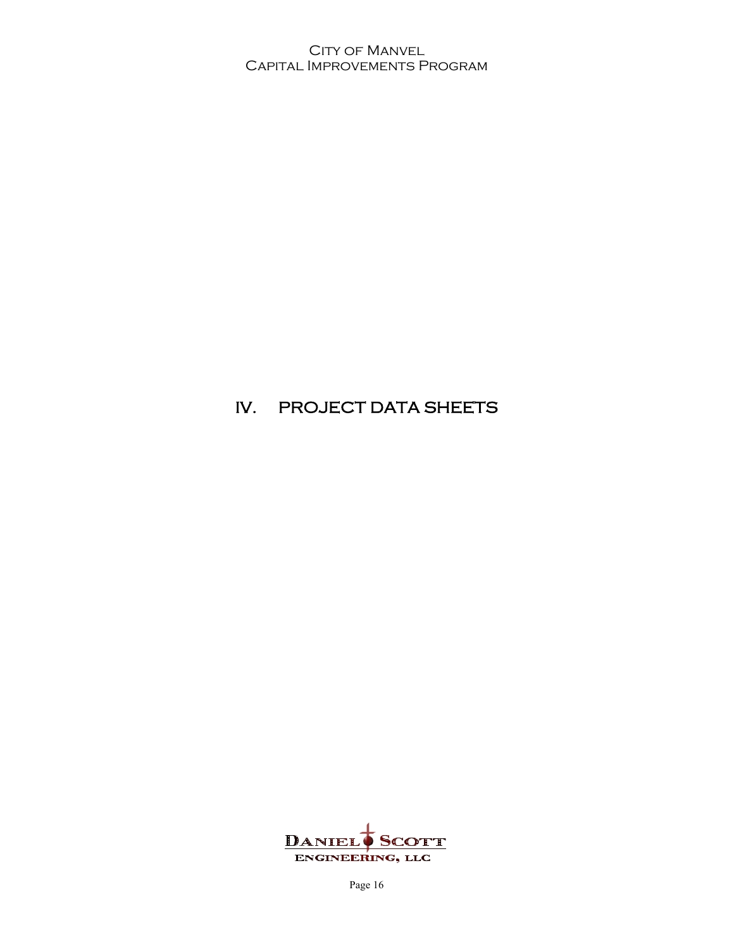# IV. PROJECT DATA SHEETS

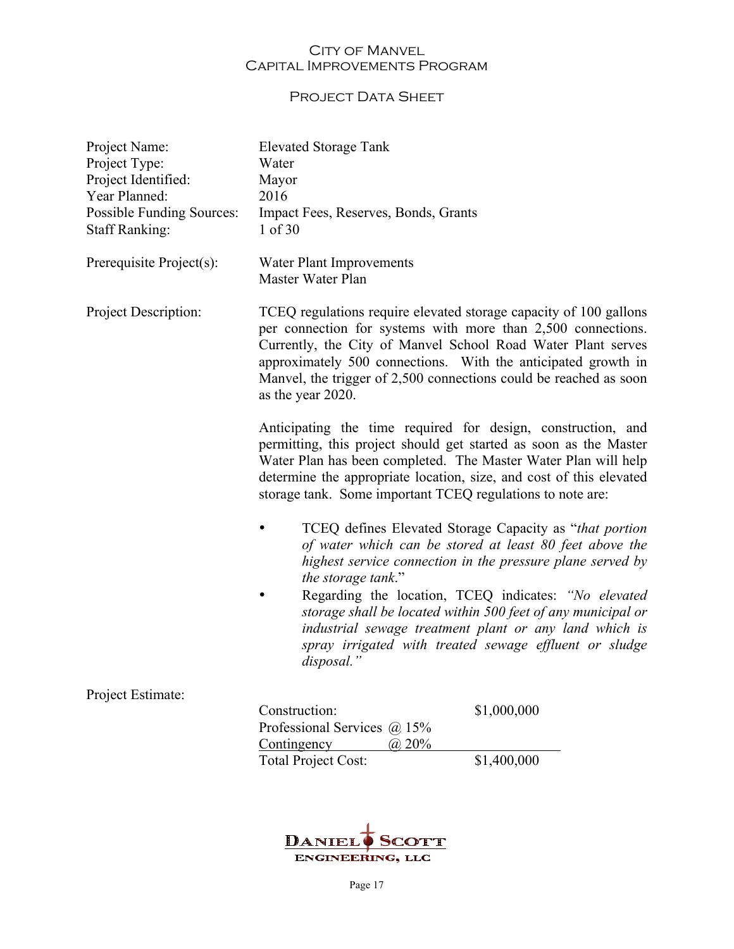## PROJECT DATA SHEET

| Project Name:<br>Project Type:<br>Project Identified:<br>Year Planned:<br><b>Possible Funding Sources:</b><br><b>Staff Ranking:</b> | <b>Elevated Storage Tank</b><br>Water<br>Mayor<br>2016<br>Impact Fees, Reserves, Bonds, Grants<br>1 of 30                                                                                                                                                                                                                                                    |                                                                                                                                                                                                                                          |  |  |
|-------------------------------------------------------------------------------------------------------------------------------------|--------------------------------------------------------------------------------------------------------------------------------------------------------------------------------------------------------------------------------------------------------------------------------------------------------------------------------------------------------------|------------------------------------------------------------------------------------------------------------------------------------------------------------------------------------------------------------------------------------------|--|--|
| Prerequisite Project(s):                                                                                                            | Water Plant Improvements<br>Master Water Plan                                                                                                                                                                                                                                                                                                                |                                                                                                                                                                                                                                          |  |  |
| Project Description:                                                                                                                | TCEQ regulations require elevated storage capacity of 100 gallons<br>per connection for systems with more than 2,500 connections.<br>Currently, the City of Manvel School Road Water Plant serves<br>approximately 500 connections. With the anticipated growth in<br>Manvel, the trigger of 2,500 connections could be reached as soon<br>as the year 2020. |                                                                                                                                                                                                                                          |  |  |
|                                                                                                                                     | Anticipating the time required for design, construction, and<br>permitting, this project should get started as soon as the Master<br>Water Plan has been completed. The Master Water Plan will help<br>determine the appropriate location, size, and cost of this elevated<br>storage tank. Some important TCEQ regulations to note are:                     |                                                                                                                                                                                                                                          |  |  |
|                                                                                                                                     | TCEQ defines Elevated Storage Capacity as "that portion"<br>of water which can be stored at least 80 feet above the<br>highest service connection in the pressure plane served by<br>the storage tank."                                                                                                                                                      |                                                                                                                                                                                                                                          |  |  |
|                                                                                                                                     | disposal."                                                                                                                                                                                                                                                                                                                                                   | Regarding the location, TCEQ indicates: "No elevated<br>storage shall be located within 500 feet of any municipal or<br>industrial sewage treatment plant or any land which is<br>spray irrigated with treated sewage effluent or sludge |  |  |
| Project Estimate:                                                                                                                   |                                                                                                                                                                                                                                                                                                                                                              |                                                                                                                                                                                                                                          |  |  |
|                                                                                                                                     | Construction:<br>Professional Services @ 15%<br>(a) 20%<br>Contingency                                                                                                                                                                                                                                                                                       | \$1,000,000                                                                                                                                                                                                                              |  |  |
|                                                                                                                                     | <b>Total Project Cost:</b>                                                                                                                                                                                                                                                                                                                                   | \$1,400,000                                                                                                                                                                                                                              |  |  |

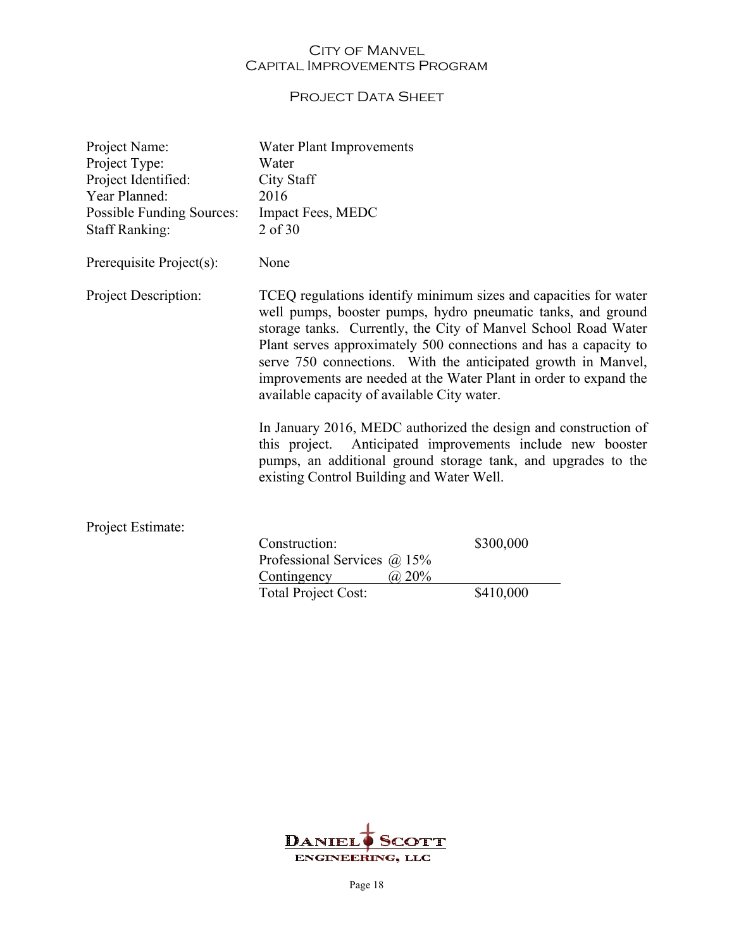## PROJECT DATA SHEET

| Project Name:<br>Project Type:<br>Project Identified:<br>Year Planned:<br><b>Possible Funding Sources:</b><br><b>Staff Ranking:</b> | Water Plant Improvements<br>Water<br>City Staff<br>2016<br>Impact Fees, MEDC<br>2 of 30                                                                                                                                                                                                                                                                                                                                                                     |           |  |
|-------------------------------------------------------------------------------------------------------------------------------------|-------------------------------------------------------------------------------------------------------------------------------------------------------------------------------------------------------------------------------------------------------------------------------------------------------------------------------------------------------------------------------------------------------------------------------------------------------------|-----------|--|
| Prerequisite Project(s):                                                                                                            | None                                                                                                                                                                                                                                                                                                                                                                                                                                                        |           |  |
| Project Description:                                                                                                                | TCEQ regulations identify minimum sizes and capacities for water<br>well pumps, booster pumps, hydro pneumatic tanks, and ground<br>storage tanks. Currently, the City of Manvel School Road Water<br>Plant serves approximately 500 connections and has a capacity to<br>serve 750 connections. With the anticipated growth in Manvel,<br>improvements are needed at the Water Plant in order to expand the<br>available capacity of available City water. |           |  |
|                                                                                                                                     | In January 2016, MEDC authorized the design and construction of<br>this project. Anticipated improvements include new booster<br>pumps, an additional ground storage tank, and upgrades to the<br>existing Control Building and Water Well.                                                                                                                                                                                                                 |           |  |
| Project Estimate:                                                                                                                   | Construction:                                                                                                                                                                                                                                                                                                                                                                                                                                               | \$300,000 |  |
|                                                                                                                                     | Professional Services $\omega$ 15%<br>$Cauchi$ agency $\odot$ 0.00/                                                                                                                                                                                                                                                                                                                                                                                         |           |  |

Contingency  $\qquad \qquad (\partial_2 20\%$ Total Project Cost: \$410,000

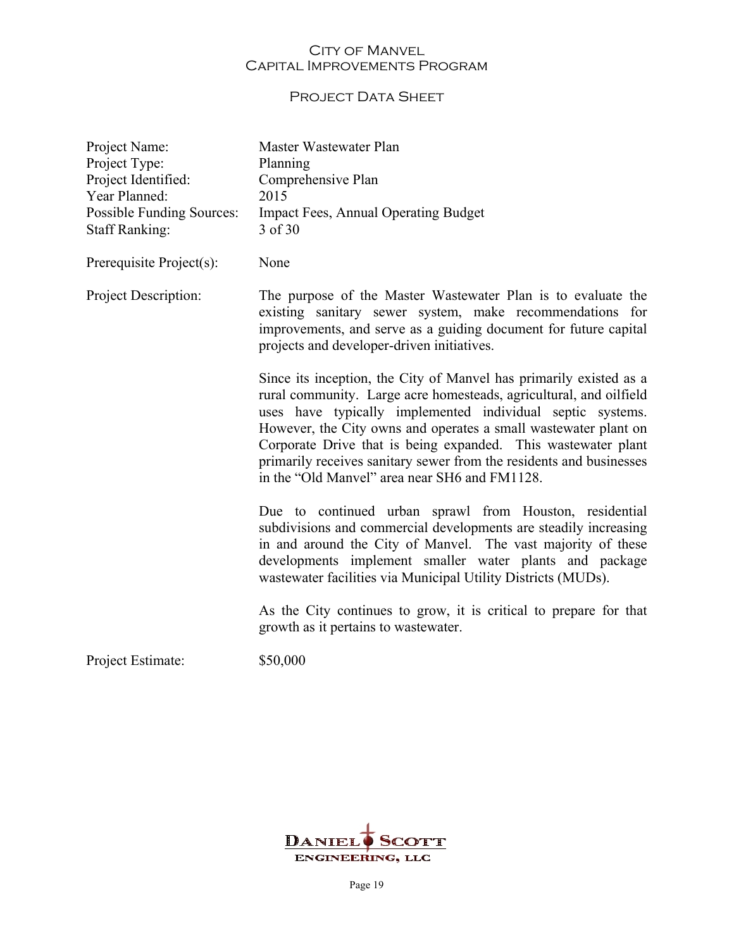## PROJECT DATA SHEET

| Project Name:<br>Project Type:<br>Project Identified:<br>Year Planned:<br>Possible Funding Sources:<br><b>Staff Ranking:</b> | Master Wastewater Plan<br>Planning<br>Comprehensive Plan<br>2015<br><b>Impact Fees, Annual Operating Budget</b><br>3 of 30                                                                                                                                                                                                                                                                                                                                         |
|------------------------------------------------------------------------------------------------------------------------------|--------------------------------------------------------------------------------------------------------------------------------------------------------------------------------------------------------------------------------------------------------------------------------------------------------------------------------------------------------------------------------------------------------------------------------------------------------------------|
| Prerequisite Project(s):                                                                                                     | None                                                                                                                                                                                                                                                                                                                                                                                                                                                               |
| Project Description:                                                                                                         | The purpose of the Master Wastewater Plan is to evaluate the<br>existing sanitary sewer system, make recommendations for<br>improvements, and serve as a guiding document for future capital<br>projects and developer-driven initiatives.                                                                                                                                                                                                                         |
|                                                                                                                              | Since its inception, the City of Manvel has primarily existed as a<br>rural community. Large acre homesteads, agricultural, and oilfield<br>uses have typically implemented individual septic systems.<br>However, the City owns and operates a small wastewater plant on<br>Corporate Drive that is being expanded. This wastewater plant<br>primarily receives sanitary sewer from the residents and businesses<br>in the "Old Manvel" area near SH6 and FM1128. |
|                                                                                                                              | Due to continued urban sprawl from Houston, residential<br>subdivisions and commercial developments are steadily increasing<br>in and around the City of Manvel. The vast majority of these<br>developments implement smaller water plants and package<br>wastewater facilities via Municipal Utility Districts (MUDs).                                                                                                                                            |
|                                                                                                                              | As the City continues to grow, it is critical to prepare for that<br>growth as it pertains to was tewater.                                                                                                                                                                                                                                                                                                                                                         |
| Project Estimate:                                                                                                            | \$50,000                                                                                                                                                                                                                                                                                                                                                                                                                                                           |

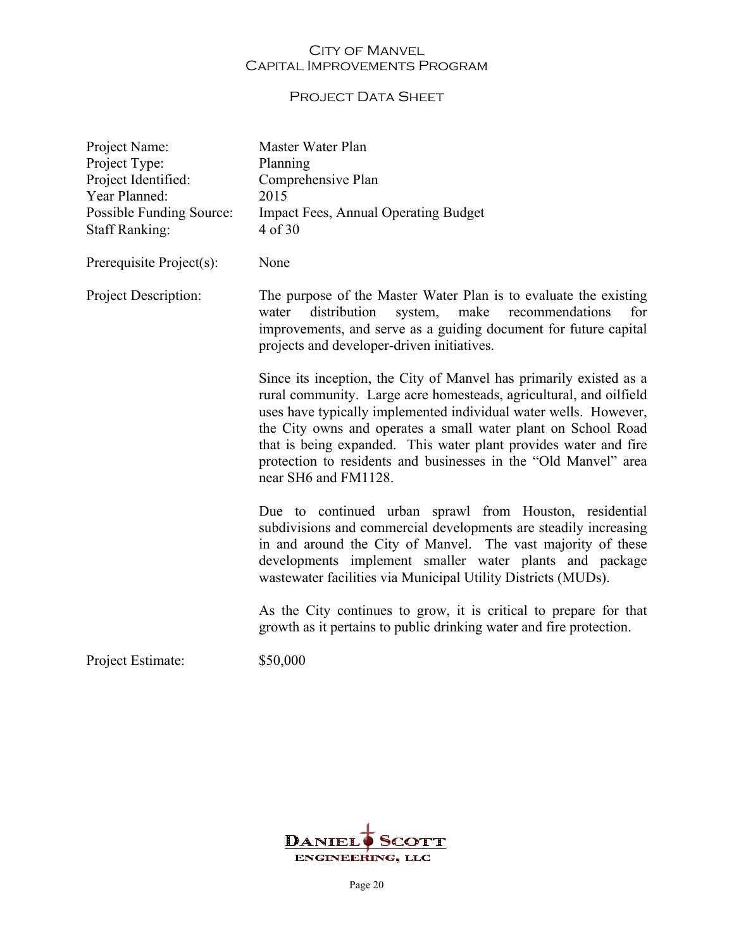## PROJECT DATA SHEET

| Project Name:<br>Project Type:<br>Project Identified:<br>Year Planned:<br>Possible Funding Source:<br><b>Staff Ranking:</b> | Master Water Plan<br>Planning<br>Comprehensive Plan<br>2015<br><b>Impact Fees, Annual Operating Budget</b><br>4 of 30                                                                                                                                                                                                                                                                                                                        |
|-----------------------------------------------------------------------------------------------------------------------------|----------------------------------------------------------------------------------------------------------------------------------------------------------------------------------------------------------------------------------------------------------------------------------------------------------------------------------------------------------------------------------------------------------------------------------------------|
| Prerequisite Project(s):                                                                                                    | None                                                                                                                                                                                                                                                                                                                                                                                                                                         |
| Project Description:                                                                                                        | The purpose of the Master Water Plan is to evaluate the existing<br>make<br>distribution<br>recommendations<br>for<br>water<br>system,<br>improvements, and serve as a guiding document for future capital<br>projects and developer-driven initiatives.                                                                                                                                                                                     |
|                                                                                                                             | Since its inception, the City of Manvel has primarily existed as a<br>rural community. Large acre homesteads, agricultural, and oilfield<br>uses have typically implemented individual water wells. However,<br>the City owns and operates a small water plant on School Road<br>that is being expanded. This water plant provides water and fire<br>protection to residents and businesses in the "Old Manvel" area<br>near SH6 and FM1128. |
|                                                                                                                             | Due to continued urban sprawl from Houston, residential<br>subdivisions and commercial developments are steadily increasing<br>in and around the City of Manvel. The vast majority of these<br>developments implement smaller water plants and package<br>wastewater facilities via Municipal Utility Districts (MUDs).                                                                                                                      |
|                                                                                                                             | As the City continues to grow, it is critical to prepare for that<br>growth as it pertains to public drinking water and fire protection.                                                                                                                                                                                                                                                                                                     |
| Project Estimate:                                                                                                           | \$50,000                                                                                                                                                                                                                                                                                                                                                                                                                                     |

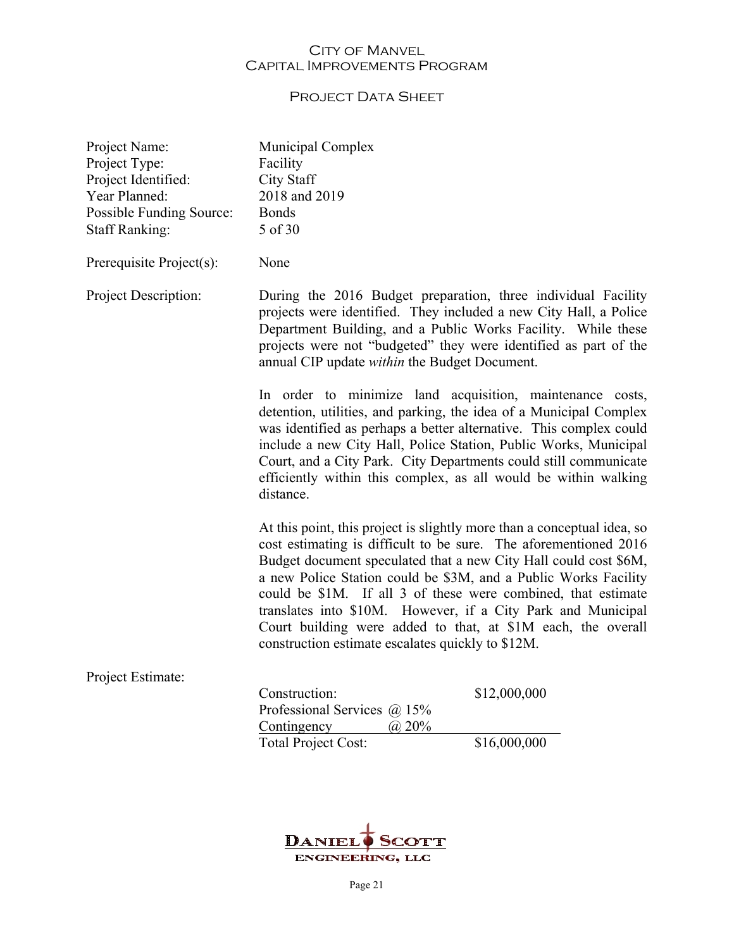## PROJECT DATA SHEET

| Project Name:<br>Project Type:<br>Project Identified:<br>Year Planned:<br>Possible Funding Source:<br><b>Staff Ranking:</b> | Municipal Complex<br>Facility<br><b>City Staff</b><br>2018 and 2019<br><b>Bonds</b><br>5 of 30                                                                                                                                                                                                                                                                                                                                                                                                                                           |              |  |
|-----------------------------------------------------------------------------------------------------------------------------|------------------------------------------------------------------------------------------------------------------------------------------------------------------------------------------------------------------------------------------------------------------------------------------------------------------------------------------------------------------------------------------------------------------------------------------------------------------------------------------------------------------------------------------|--------------|--|
| Prerequisite Project(s):                                                                                                    | None                                                                                                                                                                                                                                                                                                                                                                                                                                                                                                                                     |              |  |
| Project Description:                                                                                                        | During the 2016 Budget preparation, three individual Facility<br>projects were identified. They included a new City Hall, a Police<br>Department Building, and a Public Works Facility. While these<br>projects were not "budgeted" they were identified as part of the<br>annual CIP update within the Budget Document.                                                                                                                                                                                                                 |              |  |
|                                                                                                                             | In order to minimize land acquisition, maintenance costs,<br>detention, utilities, and parking, the idea of a Municipal Complex<br>was identified as perhaps a better alternative. This complex could<br>include a new City Hall, Police Station, Public Works, Municipal<br>Court, and a City Park. City Departments could still communicate<br>efficiently within this complex, as all would be within walking<br>distance.                                                                                                            |              |  |
|                                                                                                                             | At this point, this project is slightly more than a conceptual idea, so<br>cost estimating is difficult to be sure. The aforementioned 2016<br>Budget document speculated that a new City Hall could cost \$6M,<br>a new Police Station could be \$3M, and a Public Works Facility<br>could be \$1M. If all 3 of these were combined, that estimate<br>translates into \$10M. However, if a City Park and Municipal<br>Court building were added to that, at \$1M each, the overall<br>construction estimate escalates quickly to \$12M. |              |  |
| Project Estimate:                                                                                                           |                                                                                                                                                                                                                                                                                                                                                                                                                                                                                                                                          |              |  |
|                                                                                                                             | Construction:                                                                                                                                                                                                                                                                                                                                                                                                                                                                                                                            | \$12,000,000 |  |
|                                                                                                                             | Professional Services @ 15%<br>(a) 20%<br>Contingency                                                                                                                                                                                                                                                                                                                                                                                                                                                                                    |              |  |
|                                                                                                                             | <b>Total Project Cost:</b>                                                                                                                                                                                                                                                                                                                                                                                                                                                                                                               | \$16,000,000 |  |

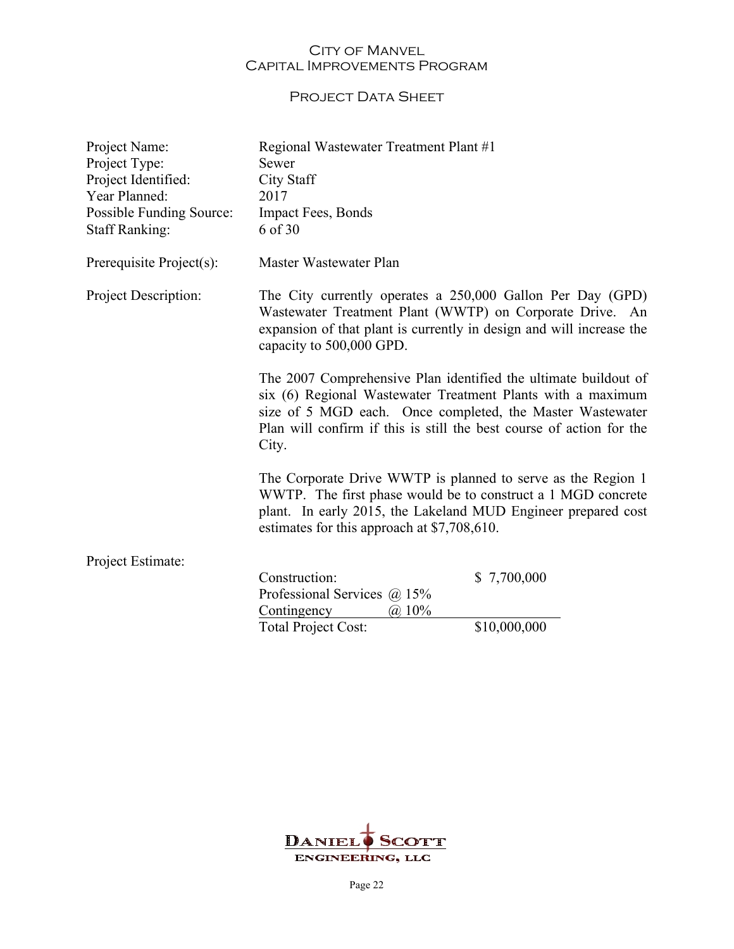## PROJECT DATA SHEET

| Project Name:<br>Project Type:<br>Project Identified:<br>Year Planned:<br>Possible Funding Source:<br><b>Staff Ranking:</b> | Regional Wastewater Treatment Plant #1<br>Sewer<br><b>City Staff</b><br>2017<br>Impact Fees, Bonds<br>6 of 30                                                                                                                                                                |              |
|-----------------------------------------------------------------------------------------------------------------------------|------------------------------------------------------------------------------------------------------------------------------------------------------------------------------------------------------------------------------------------------------------------------------|--------------|
| Prerequisite Project(s):                                                                                                    | Master Wastewater Plan                                                                                                                                                                                                                                                       |              |
| Project Description:                                                                                                        | The City currently operates a 250,000 Gallon Per Day (GPD)<br>Wastewater Treatment Plant (WWTP) on Corporate Drive. An<br>expansion of that plant is currently in design and will increase the<br>capacity to 500,000 GPD.                                                   |              |
|                                                                                                                             | The 2007 Comprehensive Plan identified the ultimate buildout of<br>six (6) Regional Wastewater Treatment Plants with a maximum<br>size of 5 MGD each. Once completed, the Master Wastewater<br>Plan will confirm if this is still the best course of action for the<br>City. |              |
|                                                                                                                             | The Corporate Drive WWTP is planned to serve as the Region 1<br>WWTP. The first phase would be to construct a 1 MGD concrete<br>plant. In early 2015, the Lakeland MUD Engineer prepared cost<br>estimates for this approach at \$7,708,610.                                 |              |
| Project Estimate:                                                                                                           |                                                                                                                                                                                                                                                                              |              |
|                                                                                                                             | Construction:<br>Professional Services $\omega$ 15%                                                                                                                                                                                                                          | \$7,700,000  |
|                                                                                                                             | Contingency<br>$(a)$ 10%<br><b>Total Project Cost:</b>                                                                                                                                                                                                                       | \$10,000,000 |
|                                                                                                                             |                                                                                                                                                                                                                                                                              |              |

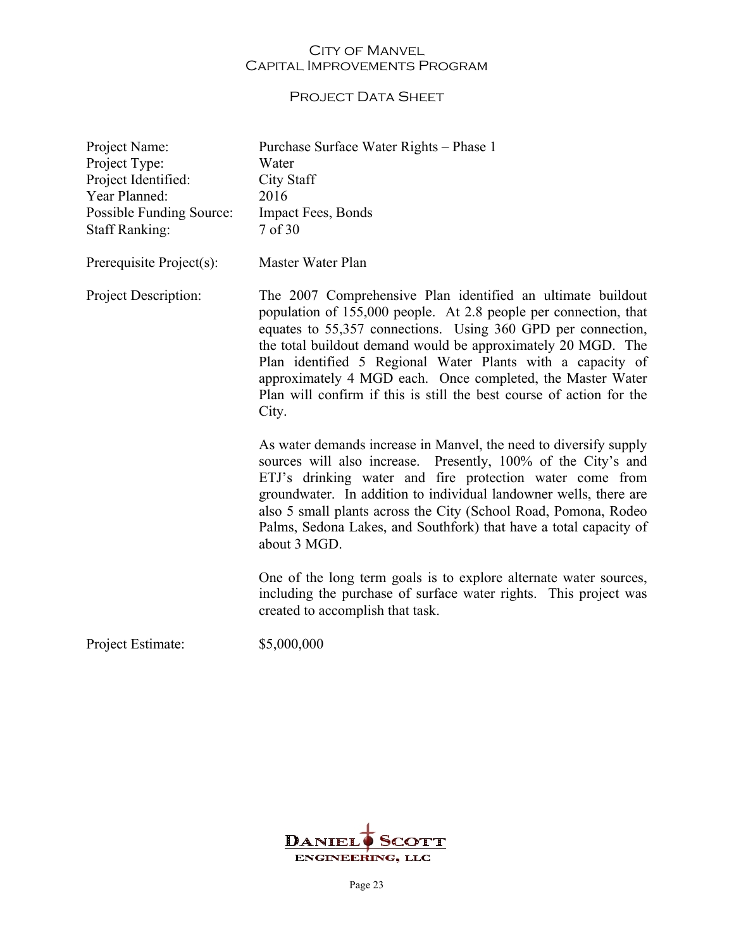## PROJECT DATA SHEET

| Project Name:<br>Project Type:<br>Project Identified:<br>Year Planned:<br>Possible Funding Source:<br><b>Staff Ranking:</b> | Purchase Surface Water Rights - Phase 1<br>Water<br><b>City Staff</b><br>2016<br>Impact Fees, Bonds<br>7 of 30                                                                                                                                                                                                                                                                                                                                                               |
|-----------------------------------------------------------------------------------------------------------------------------|------------------------------------------------------------------------------------------------------------------------------------------------------------------------------------------------------------------------------------------------------------------------------------------------------------------------------------------------------------------------------------------------------------------------------------------------------------------------------|
| Prerequisite Project(s):                                                                                                    | Master Water Plan                                                                                                                                                                                                                                                                                                                                                                                                                                                            |
| Project Description:                                                                                                        | The 2007 Comprehensive Plan identified an ultimate buildout<br>population of 155,000 people. At 2.8 people per connection, that<br>equates to 55,357 connections. Using 360 GPD per connection,<br>the total buildout demand would be approximately 20 MGD. The<br>Plan identified 5 Regional Water Plants with a capacity of<br>approximately 4 MGD each. Once completed, the Master Water<br>Plan will confirm if this is still the best course of action for the<br>City. |
|                                                                                                                             | As water demands increase in Manvel, the need to diversify supply<br>sources will also increase. Presently, 100% of the City's and<br>ETJ's drinking water and fire protection water come from<br>groundwater. In addition to individual landowner wells, there are<br>also 5 small plants across the City (School Road, Pomona, Rodeo<br>Palms, Sedona Lakes, and Southfork) that have a total capacity of<br>about 3 MGD.                                                  |
|                                                                                                                             | One of the long term goals is to explore alternate water sources,<br>including the purchase of surface water rights. This project was<br>created to accomplish that task.                                                                                                                                                                                                                                                                                                    |
| Project Estimate:                                                                                                           | \$5,000,000                                                                                                                                                                                                                                                                                                                                                                                                                                                                  |

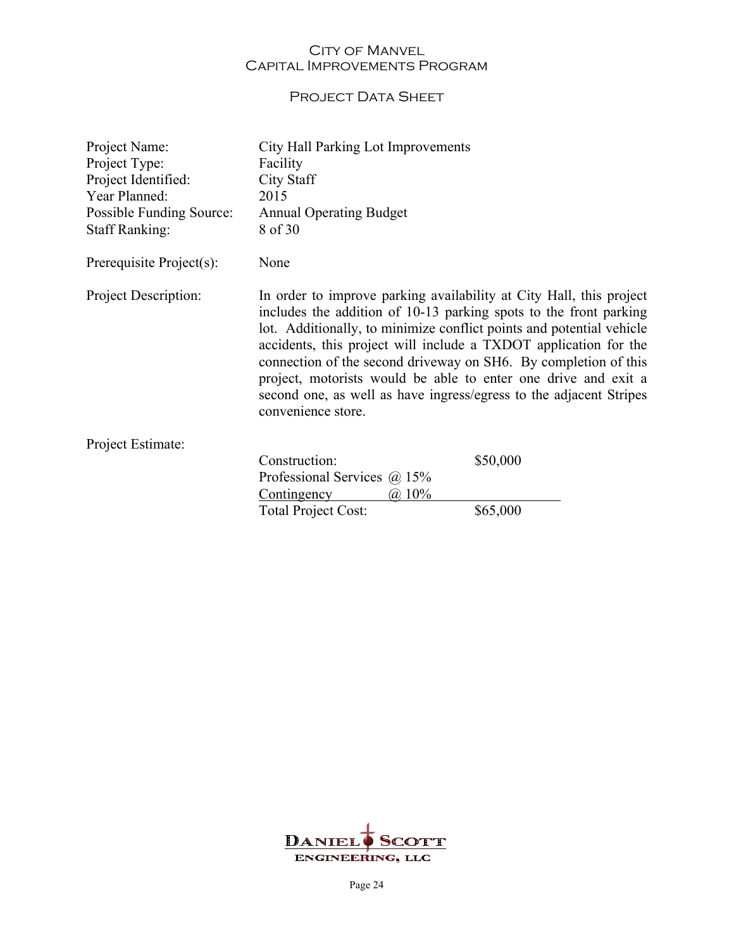## PROJECT DATA SHEET

| Project Name:<br>Project Type:<br>Project Identified:<br>Year Planned:<br>Possible Funding Source:<br><b>Staff Ranking:</b> | City Hall Parking Lot Improvements<br>Facility<br><b>City Staff</b><br>2015<br><b>Annual Operating Budget</b><br>8 of 30                                                                                                                                                                                                                                                                                                                                                                                              |          |
|-----------------------------------------------------------------------------------------------------------------------------|-----------------------------------------------------------------------------------------------------------------------------------------------------------------------------------------------------------------------------------------------------------------------------------------------------------------------------------------------------------------------------------------------------------------------------------------------------------------------------------------------------------------------|----------|
| Prerequisite Project(s):                                                                                                    | None                                                                                                                                                                                                                                                                                                                                                                                                                                                                                                                  |          |
| Project Description:                                                                                                        | In order to improve parking availability at City Hall, this project<br>includes the addition of 10-13 parking spots to the front parking<br>lot. Additionally, to minimize conflict points and potential vehicle<br>accidents, this project will include a TXDOT application for the<br>connection of the second driveway on SH6. By completion of this<br>project, motorists would be able to enter one drive and exit a<br>second one, as well as have ingress/egress to the adjacent Stripes<br>convenience store. |          |
| Project Estimate:                                                                                                           |                                                                                                                                                                                                                                                                                                                                                                                                                                                                                                                       |          |
|                                                                                                                             | Construction:<br>Professional Services @ 15%<br>Contingency<br>$(a)$ 10%                                                                                                                                                                                                                                                                                                                                                                                                                                              | \$50,000 |
|                                                                                                                             | Total Project Cost:                                                                                                                                                                                                                                                                                                                                                                                                                                                                                                   | \$65,000 |

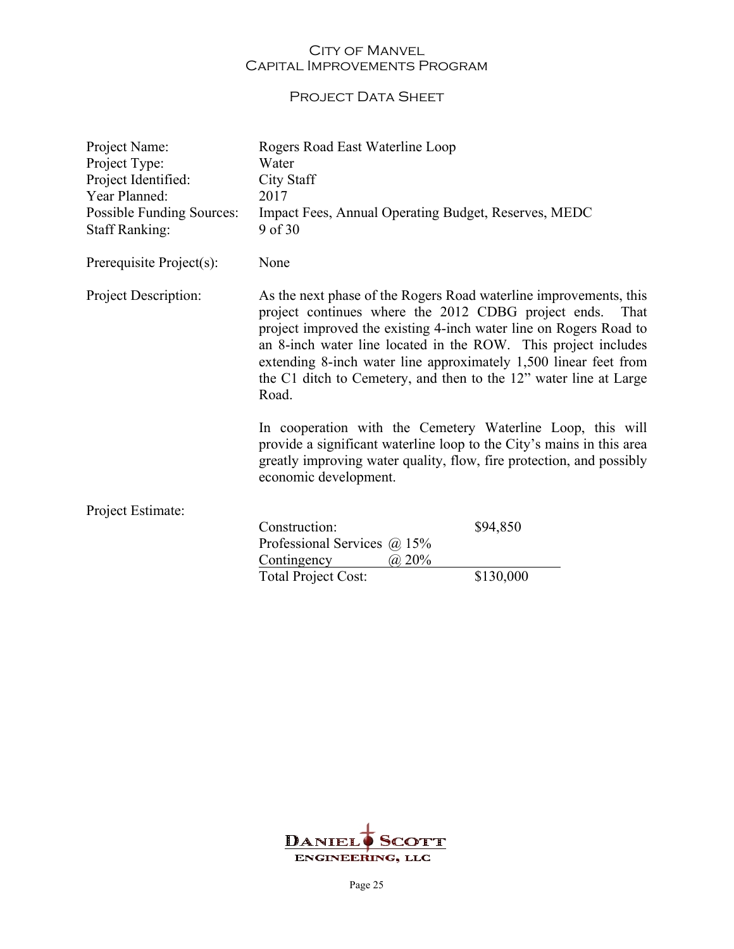## PROJECT DATA SHEET

| Project Name:<br>Project Type:<br>Project Identified:<br>Year Planned:<br><b>Possible Funding Sources:</b><br><b>Staff Ranking:</b> | Rogers Road East Waterline Loop<br>Water<br><b>City Staff</b><br>2017<br>Impact Fees, Annual Operating Budget, Reserves, MEDC<br>9 of 30                                                                                                                                                                                                                                                                                                                                        |           |
|-------------------------------------------------------------------------------------------------------------------------------------|---------------------------------------------------------------------------------------------------------------------------------------------------------------------------------------------------------------------------------------------------------------------------------------------------------------------------------------------------------------------------------------------------------------------------------------------------------------------------------|-----------|
| Prerequisite Project(s):                                                                                                            | None                                                                                                                                                                                                                                                                                                                                                                                                                                                                            |           |
| Project Description:                                                                                                                | As the next phase of the Rogers Road waterline improvements, this<br>project continues where the 2012 CDBG project ends.<br>project improved the existing 4-inch water line on Rogers Road to<br>an 8-inch water line located in the ROW. This project includes<br>extending 8-inch water line approximately 1,500 linear feet from<br>the C1 ditch to Cemetery, and then to the 12" water line at Large<br>Road.<br>In cooperation with the Cemetery Waterline Loop, this will | That      |
|                                                                                                                                     | provide a significant waterline loop to the City's mains in this area<br>greatly improving water quality, flow, fire protection, and possibly<br>economic development.                                                                                                                                                                                                                                                                                                          |           |
| Project Estimate:                                                                                                                   |                                                                                                                                                                                                                                                                                                                                                                                                                                                                                 |           |
|                                                                                                                                     | Construction:                                                                                                                                                                                                                                                                                                                                                                                                                                                                   | \$94,850  |
|                                                                                                                                     | Professional Services $\omega$ 15%                                                                                                                                                                                                                                                                                                                                                                                                                                              |           |
|                                                                                                                                     | Contingency<br>(a) 20%<br>Total Project Cost:                                                                                                                                                                                                                                                                                                                                                                                                                                   | \$130,000 |
|                                                                                                                                     |                                                                                                                                                                                                                                                                                                                                                                                                                                                                                 |           |

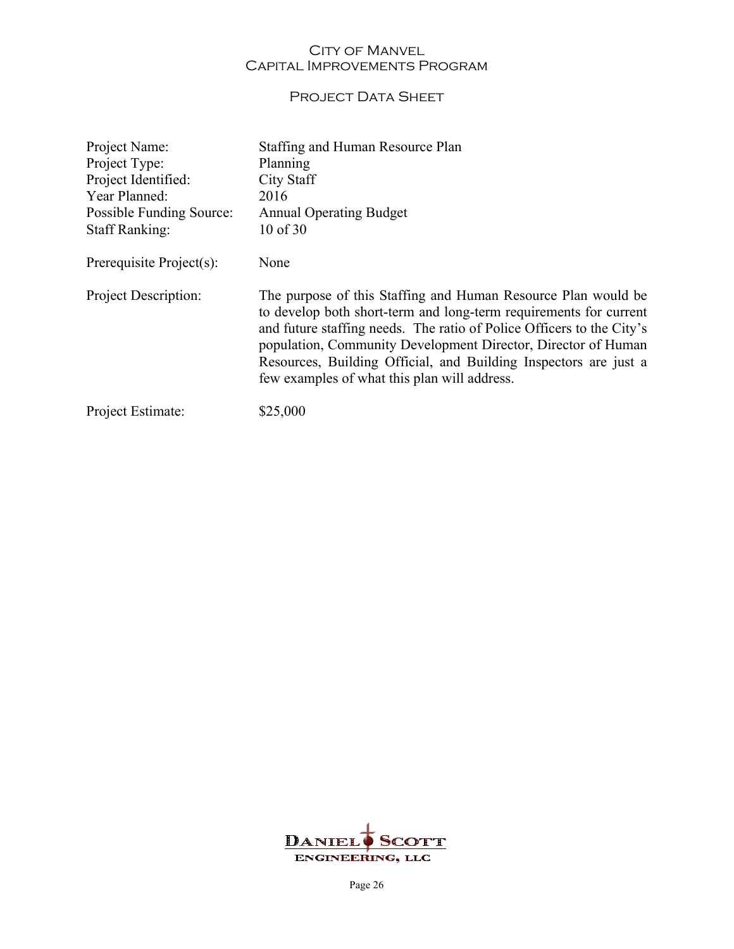## PROJECT DATA SHEET

| Project Name:            | Staffing and Human Resource Plan                                                                                                                                                                                                                                                                                                                                                                 |
|--------------------------|--------------------------------------------------------------------------------------------------------------------------------------------------------------------------------------------------------------------------------------------------------------------------------------------------------------------------------------------------------------------------------------------------|
| Project Type:            | Planning                                                                                                                                                                                                                                                                                                                                                                                         |
| Project Identified:      | City Staff                                                                                                                                                                                                                                                                                                                                                                                       |
| Year Planned:            | 2016                                                                                                                                                                                                                                                                                                                                                                                             |
| Possible Funding Source: | <b>Annual Operating Budget</b>                                                                                                                                                                                                                                                                                                                                                                   |
| <b>Staff Ranking:</b>    | 10 of 30                                                                                                                                                                                                                                                                                                                                                                                         |
| Prerequisite Project(s): | None                                                                                                                                                                                                                                                                                                                                                                                             |
| Project Description:     | The purpose of this Staffing and Human Resource Plan would be<br>to develop both short-term and long-term requirements for current<br>and future staffing needs. The ratio of Police Officers to the City's<br>population, Community Development Director, Director of Human<br>Resources, Building Official, and Building Inspectors are just a<br>few examples of what this plan will address. |
| Project Estimate:        | \$25,000                                                                                                                                                                                                                                                                                                                                                                                         |

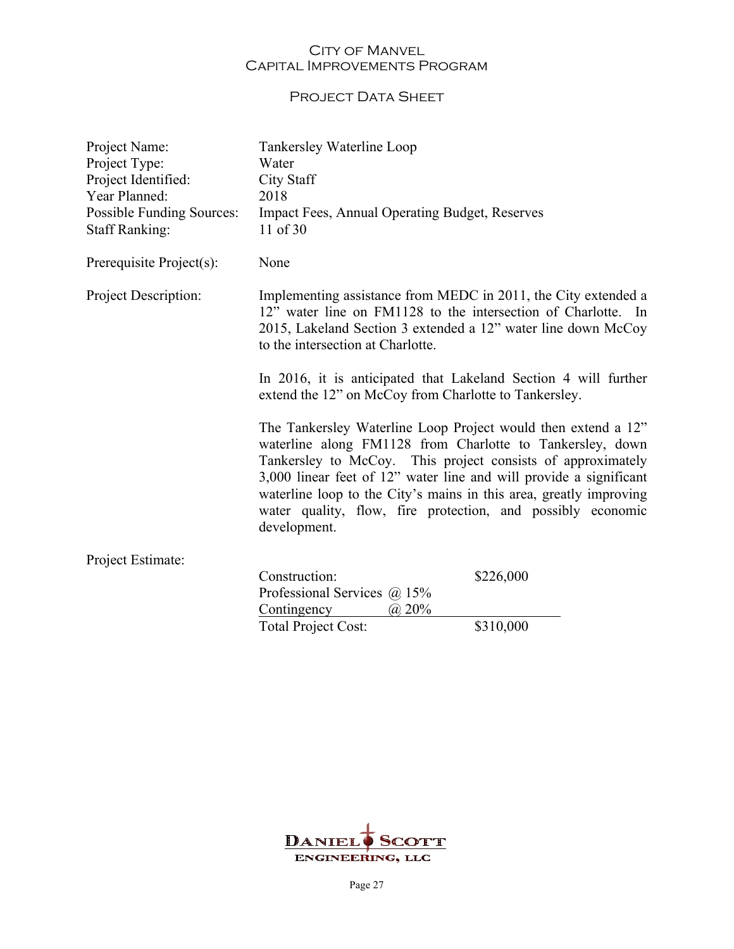## PROJECT DATA SHEET

| Project Name:<br>Project Type:<br>Project Identified:<br>Year Planned:<br><b>Possible Funding Sources:</b><br><b>Staff Ranking:</b> | Tankersley Waterline Loop<br>Water<br><b>City Staff</b><br>2018<br>Impact Fees, Annual Operating Budget, Reserves<br>11 of 30                                                                                                                                                                                                                                                                                        |           |
|-------------------------------------------------------------------------------------------------------------------------------------|----------------------------------------------------------------------------------------------------------------------------------------------------------------------------------------------------------------------------------------------------------------------------------------------------------------------------------------------------------------------------------------------------------------------|-----------|
| Prerequisite Project(s):                                                                                                            | None                                                                                                                                                                                                                                                                                                                                                                                                                 |           |
| <b>Project Description:</b>                                                                                                         | Implementing assistance from MEDC in 2011, the City extended a<br>12" water line on FM1128 to the intersection of Charlotte. In<br>2015, Lakeland Section 3 extended a 12" water line down McCoy<br>to the intersection at Charlotte.                                                                                                                                                                                |           |
|                                                                                                                                     | In 2016, it is anticipated that Lakeland Section 4 will further<br>extend the 12" on McCoy from Charlotte to Tankersley.                                                                                                                                                                                                                                                                                             |           |
|                                                                                                                                     | The Tankersley Waterline Loop Project would then extend a 12"<br>waterline along FM1128 from Charlotte to Tankersley, down<br>Tankersley to McCoy. This project consists of approximately<br>3,000 linear feet of 12" water line and will provide a significant<br>waterline loop to the City's mains in this area, greatly improving<br>water quality, flow, fire protection, and possibly economic<br>development. |           |
| Project Estimate:                                                                                                                   |                                                                                                                                                                                                                                                                                                                                                                                                                      |           |
|                                                                                                                                     | Construction:<br>Professional Services $\omega$ 15%<br>Contingency<br>$\omega$ 20%                                                                                                                                                                                                                                                                                                                                   | \$226,000 |
|                                                                                                                                     | Total Project Cost:                                                                                                                                                                                                                                                                                                                                                                                                  | \$310,000 |

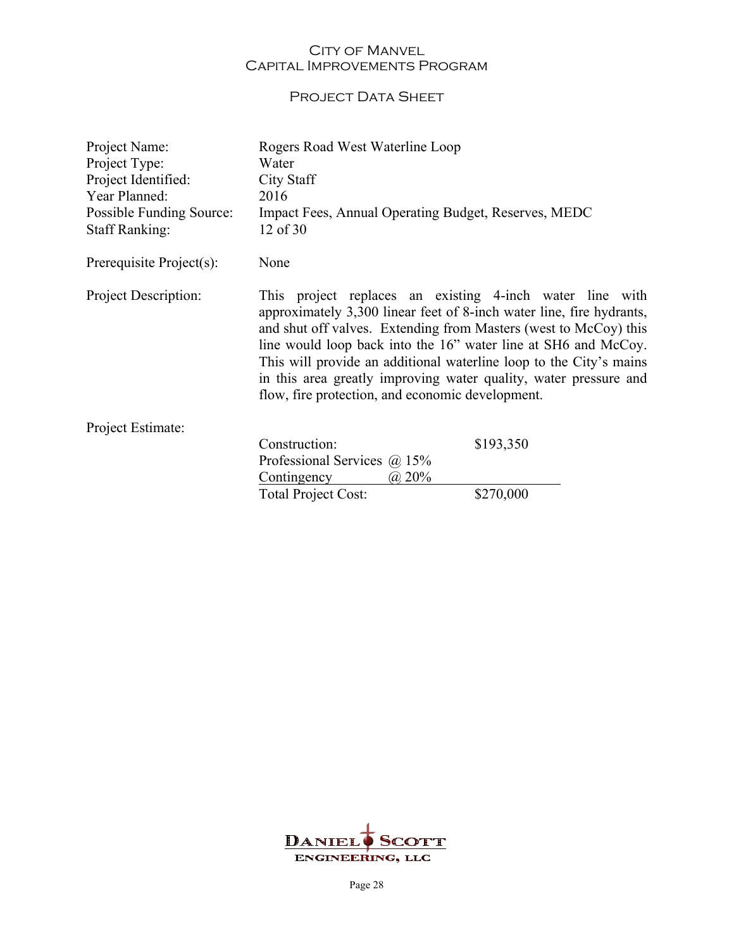## PROJECT DATA SHEET

| Project Name:<br>Project Type:<br>Project Identified:<br>Year Planned:<br>Possible Funding Source:<br><b>Staff Ranking:</b> | Rogers Road West Waterline Loop<br>Water<br>City Staff<br>2016<br>Impact Fees, Annual Operating Budget, Reserves, MEDC<br>12 of 30                                                                                                                                                                                                                                                                                                                                   |           |
|-----------------------------------------------------------------------------------------------------------------------------|----------------------------------------------------------------------------------------------------------------------------------------------------------------------------------------------------------------------------------------------------------------------------------------------------------------------------------------------------------------------------------------------------------------------------------------------------------------------|-----------|
| Prerequisite Project(s):                                                                                                    | None                                                                                                                                                                                                                                                                                                                                                                                                                                                                 |           |
| Project Description:                                                                                                        | This project replaces an existing 4-inch water line with<br>approximately 3,300 linear feet of 8-inch water line, fire hydrants,<br>and shut off valves. Extending from Masters (west to McCoy) this<br>line would loop back into the 16" water line at SH6 and McCoy.<br>This will provide an additional waterline loop to the City's mains<br>in this area greatly improving water quality, water pressure and<br>flow, fire protection, and economic development. |           |
| Project Estimate:                                                                                                           |                                                                                                                                                                                                                                                                                                                                                                                                                                                                      |           |
|                                                                                                                             | Construction:<br>Professional Services $@15\%$<br>Contingency<br>(a) 20%                                                                                                                                                                                                                                                                                                                                                                                             | \$193,350 |
|                                                                                                                             | <b>Total Project Cost:</b>                                                                                                                                                                                                                                                                                                                                                                                                                                           | \$270,000 |

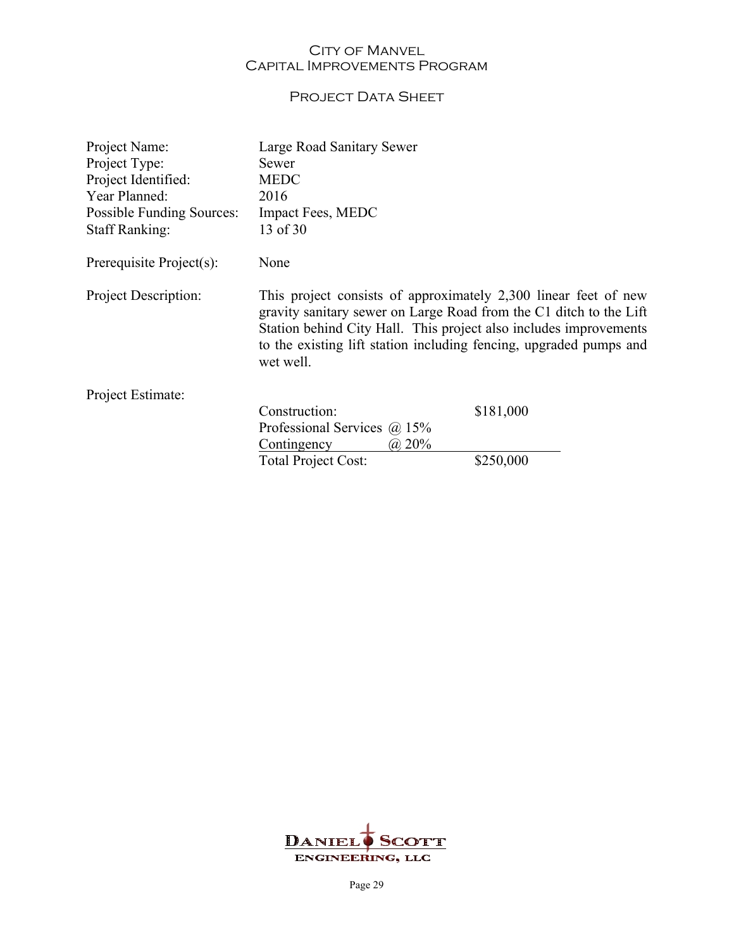## PROJECT DATA SHEET

| Project Name:                    | Large Road Sanitary Sewer                                                                                                                                                                                                                                                                     |           |
|----------------------------------|-----------------------------------------------------------------------------------------------------------------------------------------------------------------------------------------------------------------------------------------------------------------------------------------------|-----------|
| Project Type:                    | Sewer                                                                                                                                                                                                                                                                                         |           |
| Project Identified:              | <b>MEDC</b>                                                                                                                                                                                                                                                                                   |           |
| Year Planned:                    | 2016                                                                                                                                                                                                                                                                                          |           |
| <b>Possible Funding Sources:</b> | Impact Fees, MEDC                                                                                                                                                                                                                                                                             |           |
| <b>Staff Ranking:</b>            | 13 of 30                                                                                                                                                                                                                                                                                      |           |
| Prerequisite Project(s):         | None                                                                                                                                                                                                                                                                                          |           |
| Project Description:             | This project consists of approximately 2,300 linear feet of new<br>gravity sanitary sewer on Large Road from the C1 ditch to the Lift<br>Station behind City Hall. This project also includes improvements<br>to the existing lift station including fencing, upgraded pumps and<br>wet well. |           |
| Project Estimate:                |                                                                                                                                                                                                                                                                                               |           |
|                                  | Construction:                                                                                                                                                                                                                                                                                 | \$181,000 |
|                                  | Professional Services $(a)$ 15%                                                                                                                                                                                                                                                               |           |
|                                  | (a) 20%<br>Contingency                                                                                                                                                                                                                                                                        |           |
|                                  | <b>Total Project Cost:</b>                                                                                                                                                                                                                                                                    | \$250,000 |

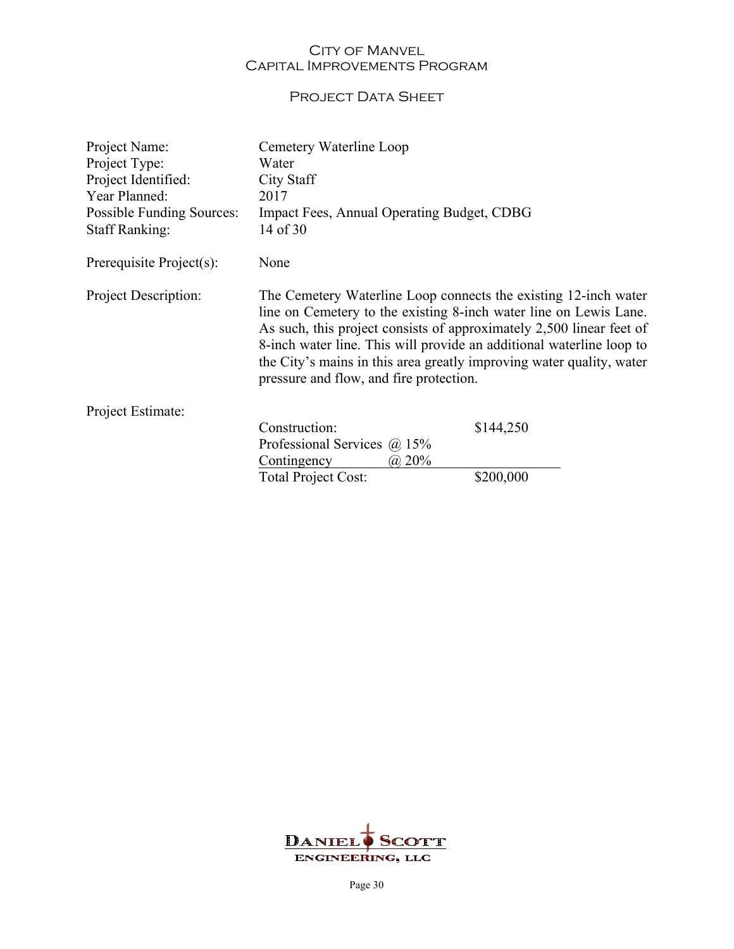## PROJECT DATA SHEET

| Project Name:<br>Project Type:<br>Project Identified:<br>Year Planned:<br>Possible Funding Sources:<br><b>Staff Ranking:</b> | Cemetery Waterline Loop<br>Water<br>City Staff<br>2017<br>Impact Fees, Annual Operating Budget, CDBG<br>14 of 30                                                                                                                                                                                                                                                                                        |                        |
|------------------------------------------------------------------------------------------------------------------------------|---------------------------------------------------------------------------------------------------------------------------------------------------------------------------------------------------------------------------------------------------------------------------------------------------------------------------------------------------------------------------------------------------------|------------------------|
| Prerequisite Project(s):                                                                                                     | None                                                                                                                                                                                                                                                                                                                                                                                                    |                        |
| Project Description:                                                                                                         | The Cemetery Waterline Loop connects the existing 12-inch water<br>line on Cemetery to the existing 8-inch water line on Lewis Lane.<br>As such, this project consists of approximately 2,500 linear feet of<br>8-inch water line. This will provide an additional waterline loop to<br>the City's mains in this area greatly improving water quality, water<br>pressure and flow, and fire protection. |                        |
| Project Estimate:                                                                                                            |                                                                                                                                                                                                                                                                                                                                                                                                         |                        |
|                                                                                                                              | Construction:<br>Professional Services $(a)$ 15%<br>Contingency<br>$\omega$ 20%<br><b>Total Project Cost:</b>                                                                                                                                                                                                                                                                                           | \$144,250<br>\$200,000 |
|                                                                                                                              |                                                                                                                                                                                                                                                                                                                                                                                                         |                        |

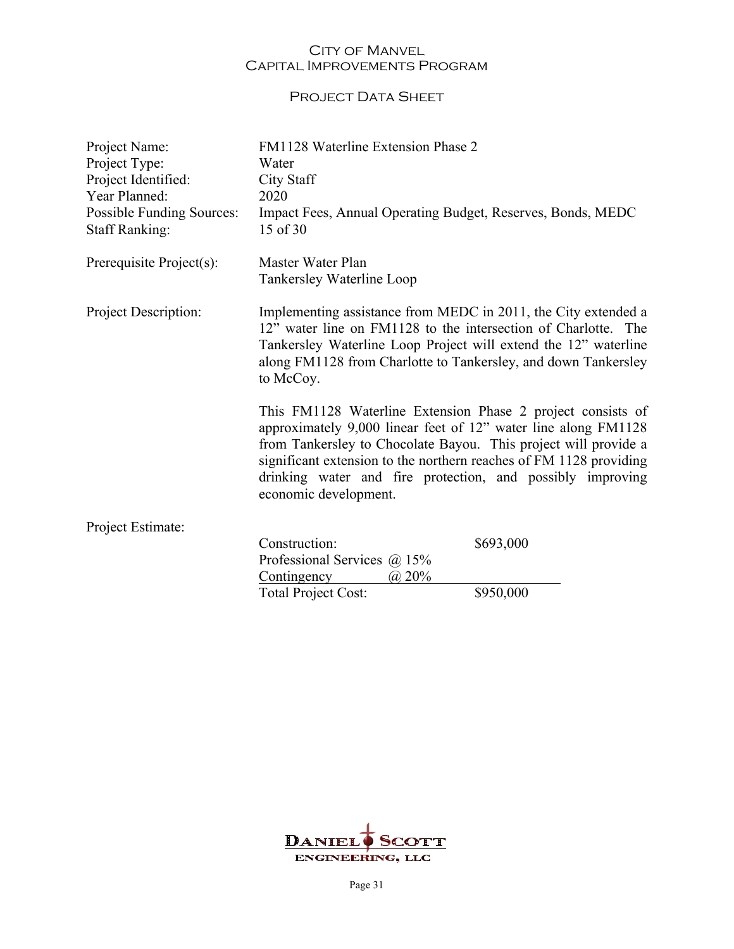## PROJECT DATA SHEET

| Project Name:<br>Project Type:<br>Project Identified:<br>Year Planned:<br>Possible Funding Sources:<br><b>Staff Ranking:</b> | FM1128 Waterline Extension Phase 2<br>Water<br>City Staff<br>2020<br>Impact Fees, Annual Operating Budget, Reserves, Bonds, MEDC<br>15 of 30                                                                                                                                                                                                                  |           |
|------------------------------------------------------------------------------------------------------------------------------|---------------------------------------------------------------------------------------------------------------------------------------------------------------------------------------------------------------------------------------------------------------------------------------------------------------------------------------------------------------|-----------|
| Prerequisite Project(s):                                                                                                     | Master Water Plan<br>Tankersley Waterline Loop                                                                                                                                                                                                                                                                                                                |           |
| Project Description:                                                                                                         | Implementing assistance from MEDC in 2011, the City extended a<br>12" water line on FM1128 to the intersection of Charlotte. The<br>Tankersley Waterline Loop Project will extend the 12" waterline<br>along FM1128 from Charlotte to Tankersley, and down Tankersley<br>to McCoy.                                                                            |           |
|                                                                                                                              | This FM1128 Waterline Extension Phase 2 project consists of<br>approximately 9,000 linear feet of 12" water line along FM1128<br>from Tankersley to Chocolate Bayou. This project will provide a<br>significant extension to the northern reaches of FM 1128 providing<br>drinking water and fire protection, and possibly improving<br>economic development. |           |
| Project Estimate:                                                                                                            |                                                                                                                                                                                                                                                                                                                                                               |           |
|                                                                                                                              | Construction:<br>Professional Services $@15\%$<br>(a) 20%<br>Contingency                                                                                                                                                                                                                                                                                      | \$693,000 |
|                                                                                                                              | <b>Total Project Cost:</b>                                                                                                                                                                                                                                                                                                                                    | \$950,000 |

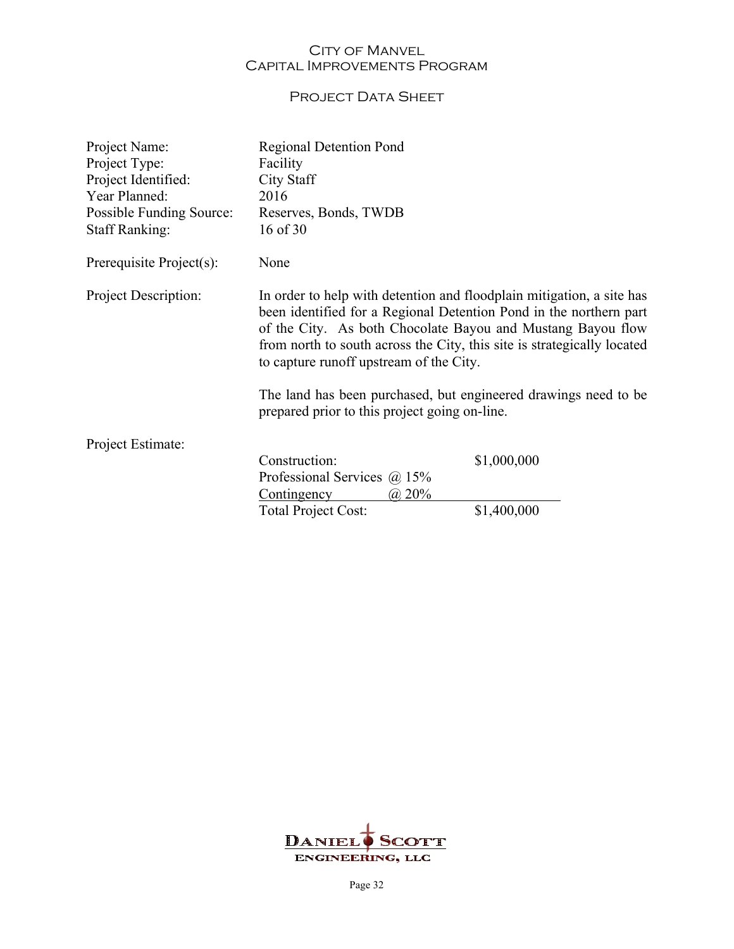## PROJECT DATA SHEET

| Project Name:<br>Project Type:<br>Project Identified:<br>Year Planned:<br>Possible Funding Source:<br><b>Staff Ranking:</b> | <b>Regional Detention Pond</b><br>Facility<br>City Staff<br>2016<br>Reserves, Bonds, TWDB<br>16 of 30                                                                                                                                                                                                                                                                                                                                                |             |
|-----------------------------------------------------------------------------------------------------------------------------|------------------------------------------------------------------------------------------------------------------------------------------------------------------------------------------------------------------------------------------------------------------------------------------------------------------------------------------------------------------------------------------------------------------------------------------------------|-------------|
| Prerequisite Project(s):                                                                                                    | None                                                                                                                                                                                                                                                                                                                                                                                                                                                 |             |
| Project Description:                                                                                                        | In order to help with detention and floodplain mitigation, a site has<br>been identified for a Regional Detention Pond in the northern part<br>of the City. As both Chocolate Bayou and Mustang Bayou flow<br>from north to south across the City, this site is strategically located<br>to capture runoff upstream of the City.<br>The land has been purchased, but engineered drawings need to be<br>prepared prior to this project going on-line. |             |
| Project Estimate:                                                                                                           | Construction:                                                                                                                                                                                                                                                                                                                                                                                                                                        | \$1,000,000 |
|                                                                                                                             | Professional Services $\omega$ 15%<br>$(a)$ 20%<br>Contingency<br><b>Total Project Cost:</b>                                                                                                                                                                                                                                                                                                                                                         | \$1,400,000 |
|                                                                                                                             |                                                                                                                                                                                                                                                                                                                                                                                                                                                      |             |

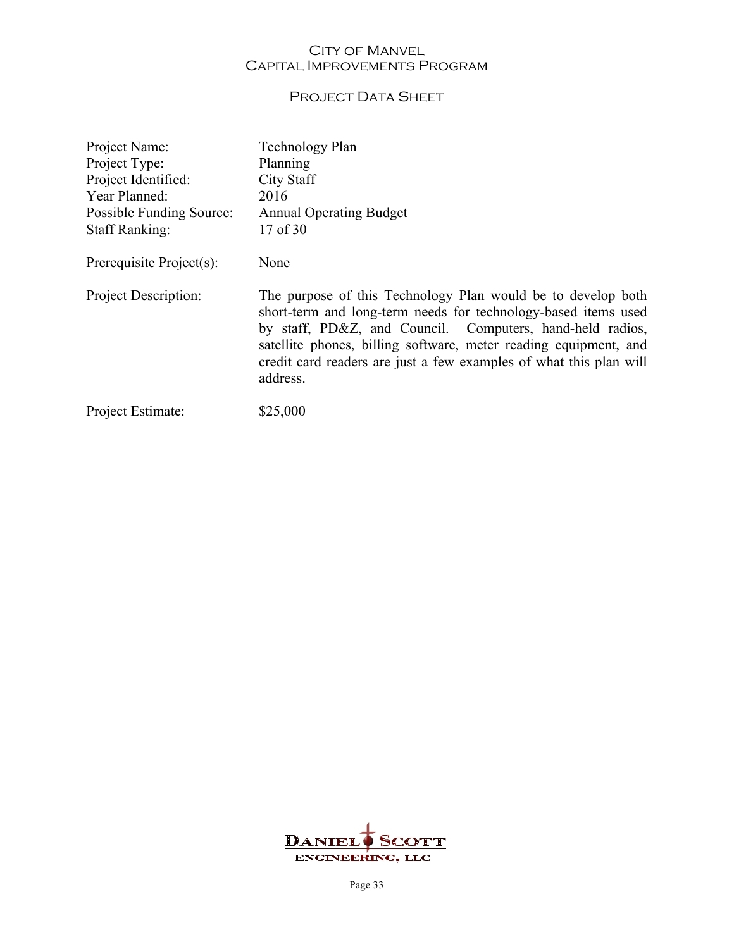## PROJECT DATA SHEET

| Project Name:               | Technology Plan                                                                                                                                                                                                                                                                                                                                   |
|-----------------------------|---------------------------------------------------------------------------------------------------------------------------------------------------------------------------------------------------------------------------------------------------------------------------------------------------------------------------------------------------|
| Project Type:               | Planning                                                                                                                                                                                                                                                                                                                                          |
| Project Identified:         | City Staff                                                                                                                                                                                                                                                                                                                                        |
| Year Planned:               | 2016                                                                                                                                                                                                                                                                                                                                              |
| Possible Funding Source:    | <b>Annual Operating Budget</b>                                                                                                                                                                                                                                                                                                                    |
| <b>Staff Ranking:</b>       | 17 of 30                                                                                                                                                                                                                                                                                                                                          |
| Prerequisite Project(s):    | None                                                                                                                                                                                                                                                                                                                                              |
| <b>Project Description:</b> | The purpose of this Technology Plan would be to develop both<br>short-term and long-term needs for technology-based items used<br>by staff, PD&Z, and Council. Computers, hand-held radios,<br>satellite phones, billing software, meter reading equipment, and<br>credit card readers are just a few examples of what this plan will<br>address. |
| Project Estimate:           |                                                                                                                                                                                                                                                                                                                                                   |

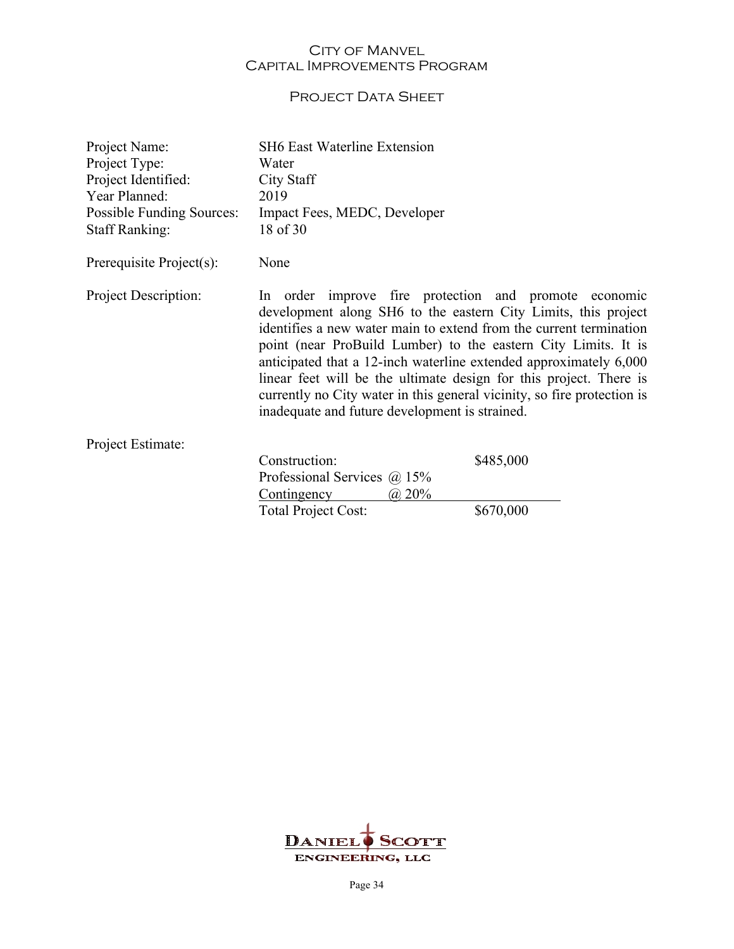## PROJECT DATA SHEET

| Project Name:<br>Project Type:<br>Project Identified:<br>Year Planned:<br><b>Possible Funding Sources:</b><br><b>Staff Ranking:</b> | <b>SH6 East Waterline Extension</b><br>Water<br>City Staff<br>2019<br>Impact Fees, MEDC, Developer<br>18 of 30                                                                                                                                                                                                                                                                                                                                                                                                                          |           |
|-------------------------------------------------------------------------------------------------------------------------------------|-----------------------------------------------------------------------------------------------------------------------------------------------------------------------------------------------------------------------------------------------------------------------------------------------------------------------------------------------------------------------------------------------------------------------------------------------------------------------------------------------------------------------------------------|-----------|
| Prerequisite Project(s):                                                                                                            | None                                                                                                                                                                                                                                                                                                                                                                                                                                                                                                                                    |           |
| Project Description:                                                                                                                | In order improve fire protection and promote economic<br>development along SH6 to the eastern City Limits, this project<br>identifies a new water main to extend from the current termination<br>point (near ProBuild Lumber) to the eastern City Limits. It is<br>anticipated that a 12-inch waterline extended approximately 6,000<br>linear feet will be the ultimate design for this project. There is<br>currently no City water in this general vicinity, so fire protection is<br>inadequate and future development is strained. |           |
| Project Estimate:                                                                                                                   | Construction:                                                                                                                                                                                                                                                                                                                                                                                                                                                                                                                           |           |
|                                                                                                                                     | Professional Services $(a)$ 15%<br>Contingency<br>$(a)$ 20%                                                                                                                                                                                                                                                                                                                                                                                                                                                                             | \$485,000 |
|                                                                                                                                     | Total Project Cost:                                                                                                                                                                                                                                                                                                                                                                                                                                                                                                                     | \$670,000 |

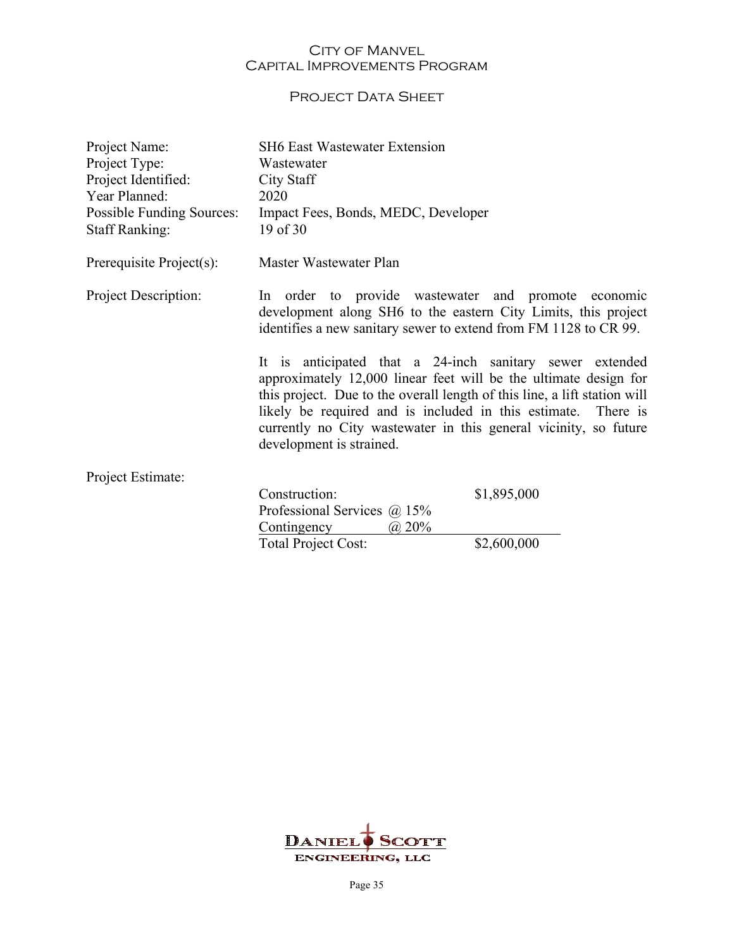## PROJECT DATA SHEET

| Project Name:<br>Project Type:<br>Project Identified:<br>Year Planned:<br>Possible Funding Sources: | <b>SH6 East Wastewater Extension</b><br>Wastewater<br>City Staff<br>2020<br>Impact Fees, Bonds, MEDC, Developer                                                                                                                                                                                                                                                   |             |
|-----------------------------------------------------------------------------------------------------|-------------------------------------------------------------------------------------------------------------------------------------------------------------------------------------------------------------------------------------------------------------------------------------------------------------------------------------------------------------------|-------------|
| <b>Staff Ranking:</b>                                                                               | $19$ of $30$                                                                                                                                                                                                                                                                                                                                                      |             |
| Prerequisite Project(s):                                                                            | Master Wastewater Plan                                                                                                                                                                                                                                                                                                                                            |             |
| Project Description:                                                                                | In order to provide wastewater and promote economic<br>development along SH6 to the eastern City Limits, this project<br>identifies a new sanitary sewer to extend from FM 1128 to CR 99.                                                                                                                                                                         |             |
|                                                                                                     | It is anticipated that a 24-inch sanitary sewer extended<br>approximately 12,000 linear feet will be the ultimate design for<br>this project. Due to the overall length of this line, a lift station will<br>likely be required and is included in this estimate.<br>currently no City wastewater in this general vicinity, so future<br>development is strained. | There is    |
| Project Estimate:                                                                                   |                                                                                                                                                                                                                                                                                                                                                                   |             |
|                                                                                                     | Construction:<br>Professional Services $\omega$ 15%<br>Contingency<br>(a) 20%                                                                                                                                                                                                                                                                                     | \$1,895,000 |
|                                                                                                     | <b>Total Project Cost:</b>                                                                                                                                                                                                                                                                                                                                        | \$2,600,000 |

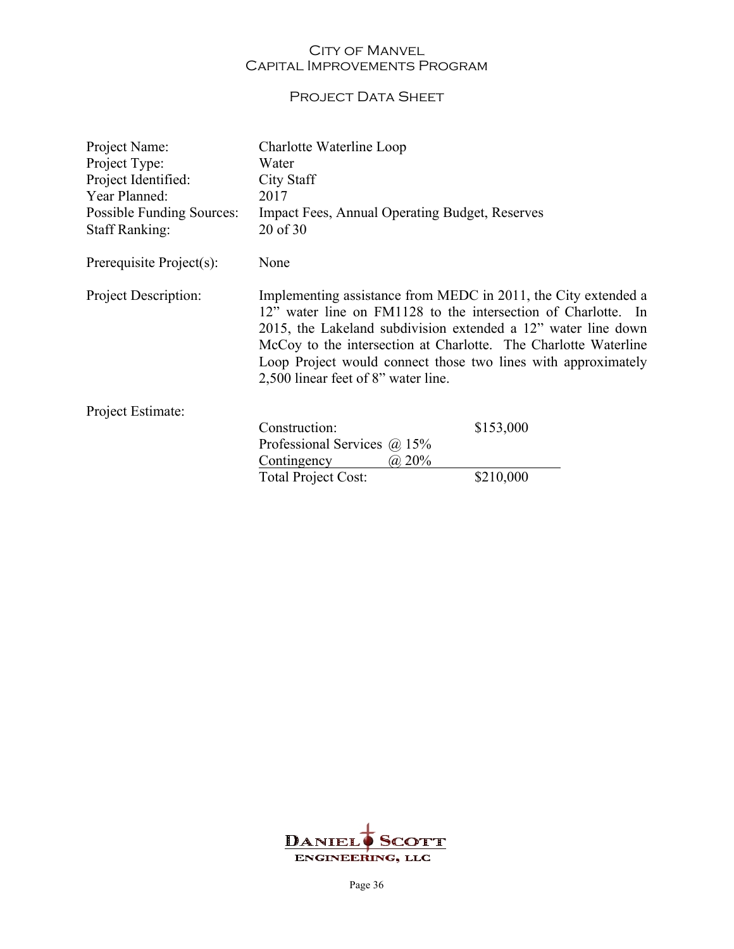## PROJECT DATA SHEET

| Project Name:<br>Project Type:<br>Project Identified:<br>Year Planned:<br>Possible Funding Sources: | Charlotte Waterline Loop<br>Water<br>City Staff<br>2017<br><b>Impact Fees, Annual Operating Budget, Reserves</b>                                                                                                                                                                                                                                                            |           |
|-----------------------------------------------------------------------------------------------------|-----------------------------------------------------------------------------------------------------------------------------------------------------------------------------------------------------------------------------------------------------------------------------------------------------------------------------------------------------------------------------|-----------|
| <b>Staff Ranking:</b>                                                                               | 20 of 30                                                                                                                                                                                                                                                                                                                                                                    |           |
| Prerequisite Project(s):                                                                            | None                                                                                                                                                                                                                                                                                                                                                                        |           |
| Project Description:                                                                                | Implementing assistance from MEDC in 2011, the City extended a<br>12" water line on FM1128 to the intersection of Charlotte. In<br>2015, the Lakeland subdivision extended a 12" water line down<br>McCoy to the intersection at Charlotte. The Charlotte Waterline<br>Loop Project would connect those two lines with approximately<br>2,500 linear feet of 8" water line. |           |
| Project Estimate:                                                                                   |                                                                                                                                                                                                                                                                                                                                                                             |           |
|                                                                                                     | Construction:<br>Professional Services $\omega$ 15%<br>Contingency<br>$\omega$ 20%                                                                                                                                                                                                                                                                                          | \$153,000 |
|                                                                                                     | <b>Total Project Cost:</b>                                                                                                                                                                                                                                                                                                                                                  | \$210,000 |

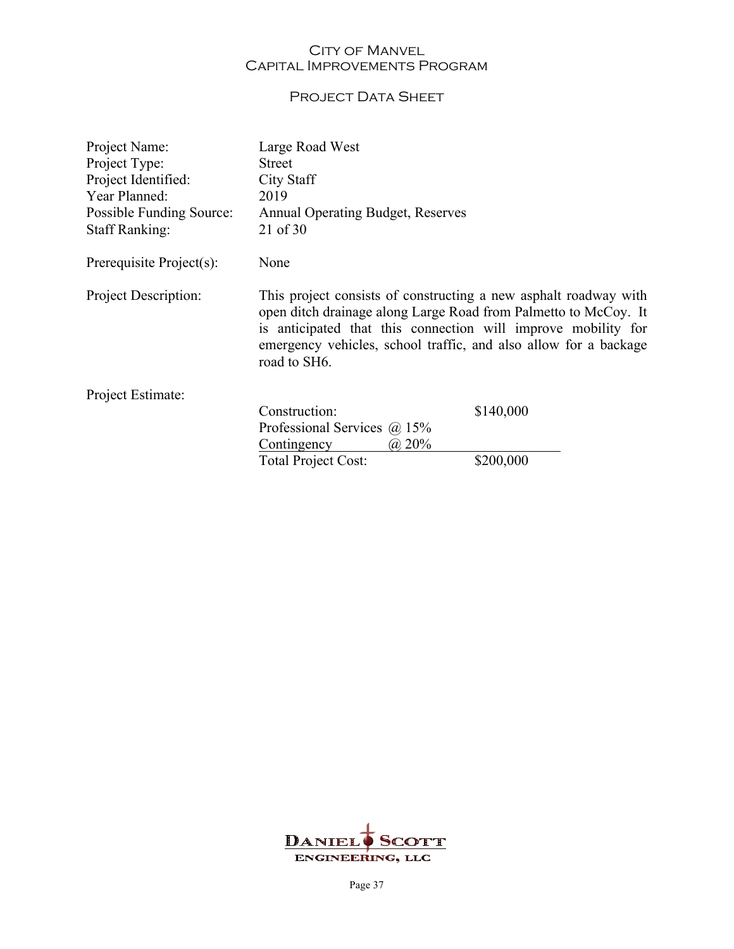## PROJECT DATA SHEET

| Project Name:            | Large Road West                                                                                                                                                                                                                                                                          |           |
|--------------------------|------------------------------------------------------------------------------------------------------------------------------------------------------------------------------------------------------------------------------------------------------------------------------------------|-----------|
| Project Type:            | <b>Street</b>                                                                                                                                                                                                                                                                            |           |
| Project Identified:      | City Staff                                                                                                                                                                                                                                                                               |           |
| Year Planned:            | 2019                                                                                                                                                                                                                                                                                     |           |
| Possible Funding Source: | <b>Annual Operating Budget, Reserves</b>                                                                                                                                                                                                                                                 |           |
| <b>Staff Ranking:</b>    | 21 of 30                                                                                                                                                                                                                                                                                 |           |
| Prerequisite Project(s): | None                                                                                                                                                                                                                                                                                     |           |
| Project Description:     | This project consists of constructing a new asphalt roadway with<br>open ditch drainage along Large Road from Palmetto to McCoy. It<br>is anticipated that this connection will improve mobility for<br>emergency vehicles, school traffic, and also allow for a backage<br>road to SH6. |           |
| Project Estimate:        |                                                                                                                                                                                                                                                                                          |           |
|                          | Construction:                                                                                                                                                                                                                                                                            | \$140,000 |
|                          | Professional Services $\omega$ 15%                                                                                                                                                                                                                                                       |           |
|                          | Contingency<br>$(a)$ 20%                                                                                                                                                                                                                                                                 |           |
|                          | <b>Total Project Cost:</b>                                                                                                                                                                                                                                                               | \$200,000 |

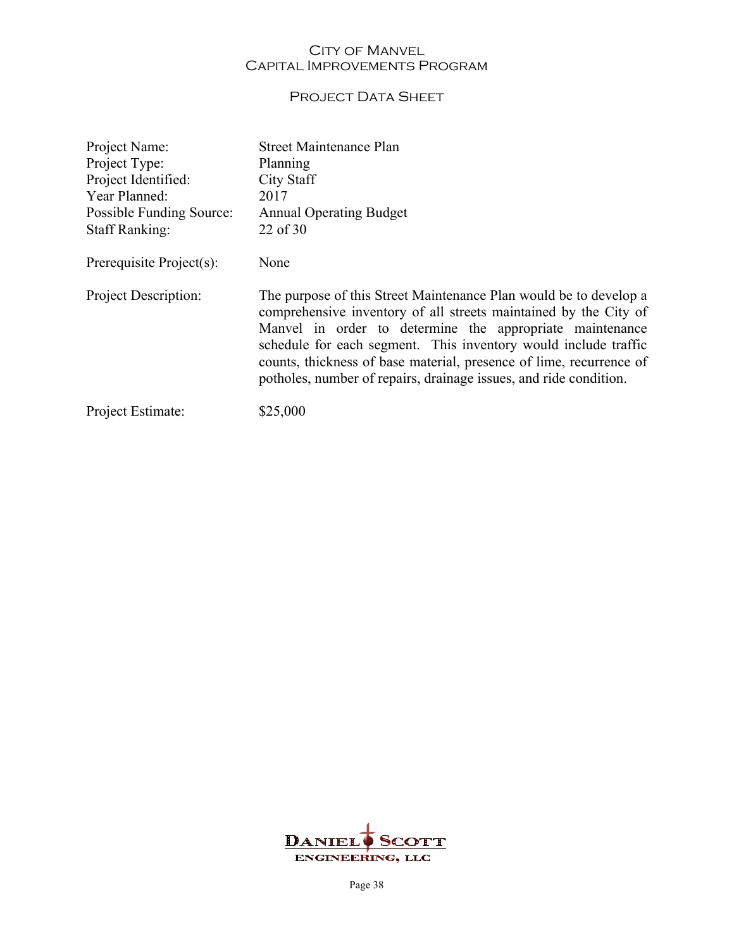## PROJECT DATA SHEET

| Project Name:            | <b>Street Maintenance Plan</b>                                                                                                                                                                                                                                                                                                                                                                                   |
|--------------------------|------------------------------------------------------------------------------------------------------------------------------------------------------------------------------------------------------------------------------------------------------------------------------------------------------------------------------------------------------------------------------------------------------------------|
| Project Type:            | Planning                                                                                                                                                                                                                                                                                                                                                                                                         |
| Project Identified:      | City Staff                                                                                                                                                                                                                                                                                                                                                                                                       |
| Year Planned:            | 2017                                                                                                                                                                                                                                                                                                                                                                                                             |
| Possible Funding Source: | <b>Annual Operating Budget</b>                                                                                                                                                                                                                                                                                                                                                                                   |
| <b>Staff Ranking:</b>    | 22 of 30                                                                                                                                                                                                                                                                                                                                                                                                         |
| Prerequisite Project(s): | None                                                                                                                                                                                                                                                                                                                                                                                                             |
| Project Description:     | The purpose of this Street Maintenance Plan would be to develop a<br>comprehensive inventory of all streets maintained by the City of<br>Manvel in order to determine the appropriate maintenance<br>schedule for each segment. This inventory would include traffic<br>counts, thickness of base material, presence of lime, recurrence of<br>potholes, number of repairs, drainage issues, and ride condition. |
| Project Estimate:        | \$25,000                                                                                                                                                                                                                                                                                                                                                                                                         |

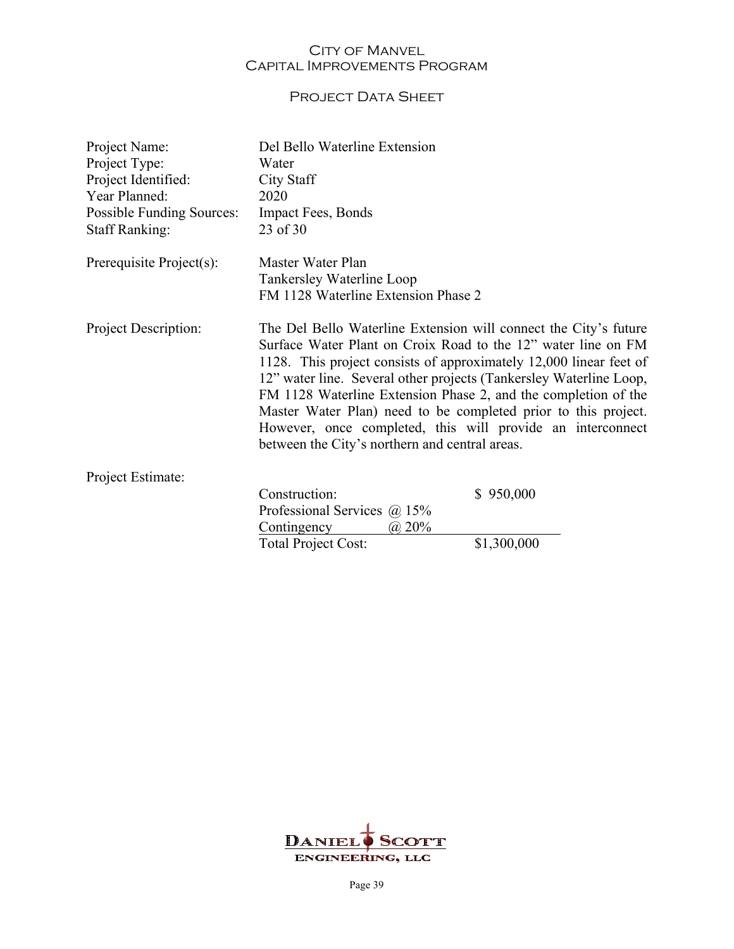## PROJECT DATA SHEET

| Project Name:<br>Project Type:<br>Project Identified:<br>Year Planned:<br><b>Possible Funding Sources:</b><br><b>Staff Ranking:</b> | Del Bello Waterline Extension<br>Water<br>City Staff<br>2020<br><b>Impact Fees, Bonds</b><br>23 of 30 |                                                                                                                                                                                                                                                                                                                                                                                                                                                                                 |
|-------------------------------------------------------------------------------------------------------------------------------------|-------------------------------------------------------------------------------------------------------|---------------------------------------------------------------------------------------------------------------------------------------------------------------------------------------------------------------------------------------------------------------------------------------------------------------------------------------------------------------------------------------------------------------------------------------------------------------------------------|
| Prerequisite Project(s):                                                                                                            | Master Water Plan<br>Tankersley Waterline Loop                                                        |                                                                                                                                                                                                                                                                                                                                                                                                                                                                                 |
|                                                                                                                                     | FM 1128 Waterline Extension Phase 2                                                                   |                                                                                                                                                                                                                                                                                                                                                                                                                                                                                 |
| Project Description:                                                                                                                | between the City's northern and central areas.                                                        | The Del Bello Waterline Extension will connect the City's future<br>Surface Water Plant on Croix Road to the 12" water line on FM<br>1128. This project consists of approximately 12,000 linear feet of<br>12" water line. Several other projects (Tankersley Waterline Loop,<br>FM 1128 Waterline Extension Phase 2, and the completion of the<br>Master Water Plan) need to be completed prior to this project.<br>However, once completed, this will provide an interconnect |
| Project Estimate:                                                                                                                   |                                                                                                       |                                                                                                                                                                                                                                                                                                                                                                                                                                                                                 |
|                                                                                                                                     | Construction:                                                                                         | \$950,000                                                                                                                                                                                                                                                                                                                                                                                                                                                                       |
|                                                                                                                                     | Professional Services $\omega$ 15%                                                                    |                                                                                                                                                                                                                                                                                                                                                                                                                                                                                 |
|                                                                                                                                     | Contingency<br>$(a)$ 20%                                                                              |                                                                                                                                                                                                                                                                                                                                                                                                                                                                                 |
|                                                                                                                                     | Total Project Cost:                                                                                   | \$1,300,000                                                                                                                                                                                                                                                                                                                                                                                                                                                                     |

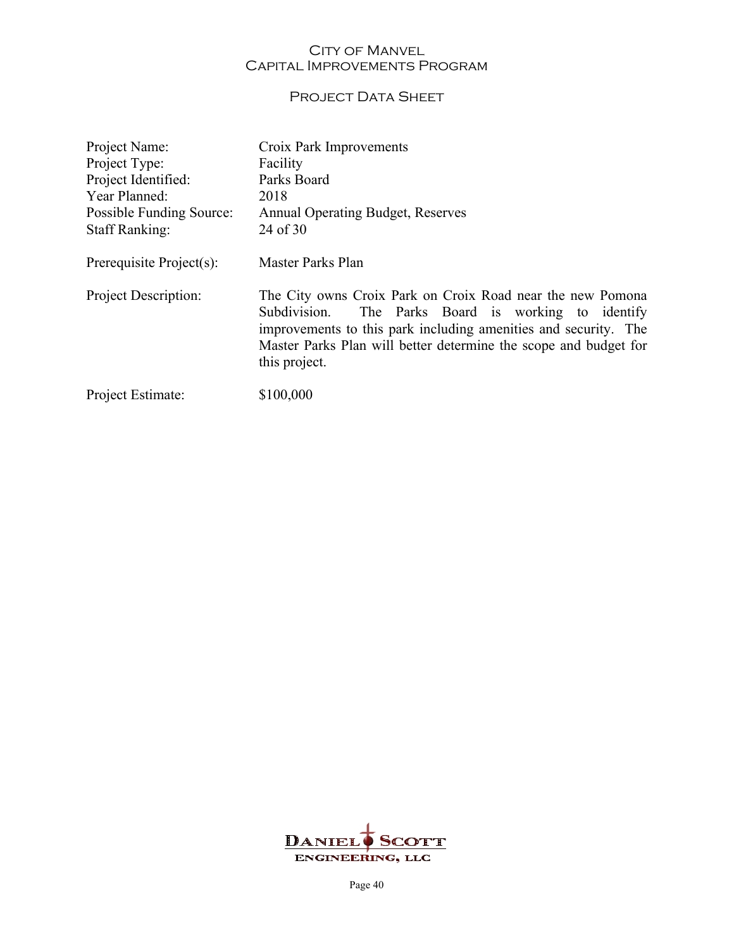## PROJECT DATA SHEET

| Project Name:               | Croix Park Improvements                                                                                                                                                                                                                                                      |
|-----------------------------|------------------------------------------------------------------------------------------------------------------------------------------------------------------------------------------------------------------------------------------------------------------------------|
| Project Type:               | Facility                                                                                                                                                                                                                                                                     |
| Project Identified:         | Parks Board                                                                                                                                                                                                                                                                  |
| Year Planned:               | 2018                                                                                                                                                                                                                                                                         |
| Possible Funding Source:    | <b>Annual Operating Budget, Reserves</b>                                                                                                                                                                                                                                     |
| <b>Staff Ranking:</b>       | 24 of 30                                                                                                                                                                                                                                                                     |
| Prerequisite Project(s):    | Master Parks Plan                                                                                                                                                                                                                                                            |
| <b>Project Description:</b> | The City owns Croix Park on Croix Road near the new Pomona<br>The Parks Board is working to identify<br>Subdivision.<br>improvements to this park including amenities and security. The<br>Master Parks Plan will better determine the scope and budget for<br>this project. |
| Project Estimate:           | \$100,000                                                                                                                                                                                                                                                                    |

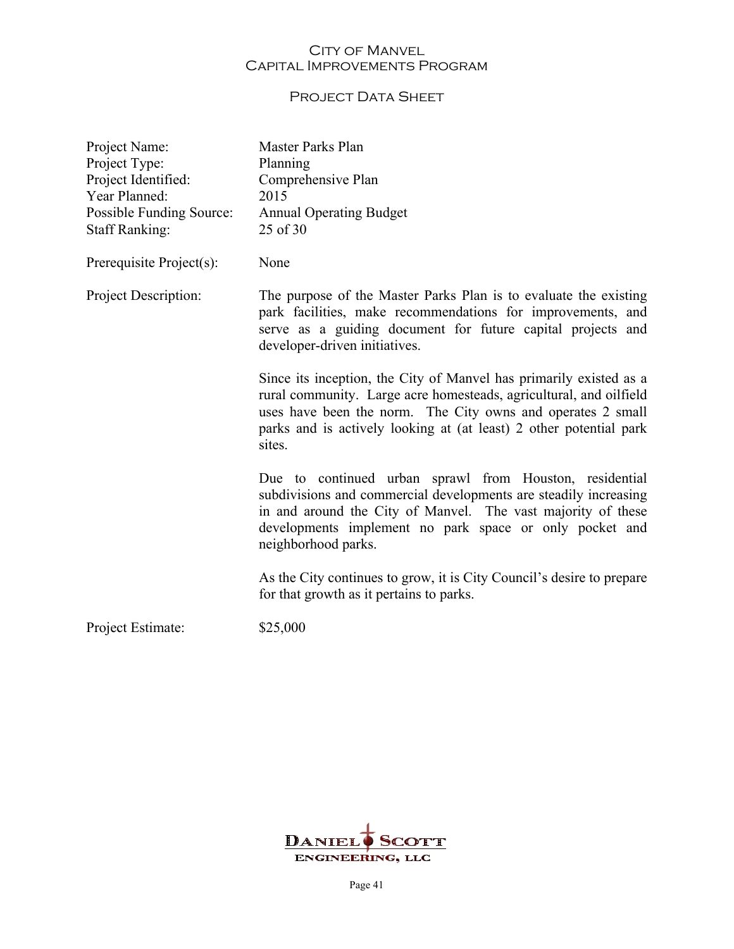## PROJECT DATA SHEET

| Project Name:<br>Project Type: | Master Parks Plan<br>Planning                                                                                                                                                                                                                                                           |
|--------------------------------|-----------------------------------------------------------------------------------------------------------------------------------------------------------------------------------------------------------------------------------------------------------------------------------------|
| Project Identified:            | Comprehensive Plan                                                                                                                                                                                                                                                                      |
| Year Planned:                  | 2015                                                                                                                                                                                                                                                                                    |
| Possible Funding Source:       | <b>Annual Operating Budget</b>                                                                                                                                                                                                                                                          |
| <b>Staff Ranking:</b>          | 25 of 30                                                                                                                                                                                                                                                                                |
| Prerequisite Project(s):       | None                                                                                                                                                                                                                                                                                    |
| Project Description:           | The purpose of the Master Parks Plan is to evaluate the existing<br>park facilities, make recommendations for improvements, and<br>serve as a guiding document for future capital projects and<br>developer-driven initiatives.                                                         |
|                                | Since its inception, the City of Manvel has primarily existed as a<br>rural community. Large acre homesteads, agricultural, and oilfield<br>uses have been the norm. The City owns and operates 2 small<br>parks and is actively looking at (at least) 2 other potential park<br>sites. |
|                                | Due to continued urban sprawl from Houston, residential<br>subdivisions and commercial developments are steadily increasing<br>in and around the City of Manvel. The vast majority of these<br>developments implement no park space or only pocket and<br>neighborhood parks.           |
|                                | As the City continues to grow, it is City Council's desire to prepare<br>for that growth as it pertains to parks.                                                                                                                                                                       |
| Project Estimate:              | \$25,000                                                                                                                                                                                                                                                                                |

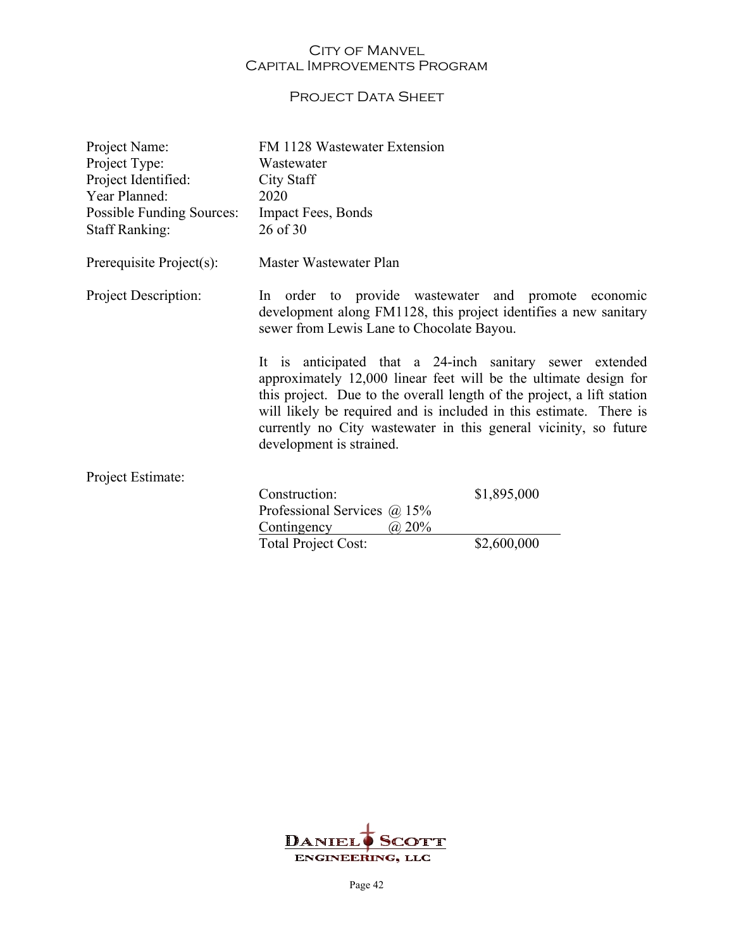## PROJECT DATA SHEET

| Project Name:<br>Project Type:<br>Project Identified:<br>Year Planned:<br>Possible Funding Sources: | FM 1128 Wastewater Extension<br>Wastewater<br>City Staff<br>2020<br><b>Impact Fees, Bonds</b>                                                                                                                                                                                                                                                                                |             |
|-----------------------------------------------------------------------------------------------------|------------------------------------------------------------------------------------------------------------------------------------------------------------------------------------------------------------------------------------------------------------------------------------------------------------------------------------------------------------------------------|-------------|
| <b>Staff Ranking:</b>                                                                               | 26 of 30                                                                                                                                                                                                                                                                                                                                                                     |             |
| Prerequisite Project(s):                                                                            | Master Wastewater Plan                                                                                                                                                                                                                                                                                                                                                       |             |
| Project Description:                                                                                | In order to provide wastewater and promote economic<br>development along FM1128, this project identifies a new sanitary<br>sewer from Lewis Lane to Chocolate Bayou.                                                                                                                                                                                                         |             |
|                                                                                                     | It is anticipated that a 24-inch sanitary sewer extended<br>approximately 12,000 linear feet will be the ultimate design for<br>this project. Due to the overall length of the project, a lift station<br>will likely be required and is included in this estimate. There is<br>currently no City wastewater in this general vicinity, so future<br>development is strained. |             |
| Project Estimate:                                                                                   |                                                                                                                                                                                                                                                                                                                                                                              |             |
|                                                                                                     | Construction:                                                                                                                                                                                                                                                                                                                                                                | \$1,895,000 |
|                                                                                                     | Professional Services $\omega$ 15%<br>Contingency<br>(a) 20%                                                                                                                                                                                                                                                                                                                 |             |
|                                                                                                     | Total Project Cost:                                                                                                                                                                                                                                                                                                                                                          | \$2,600,000 |

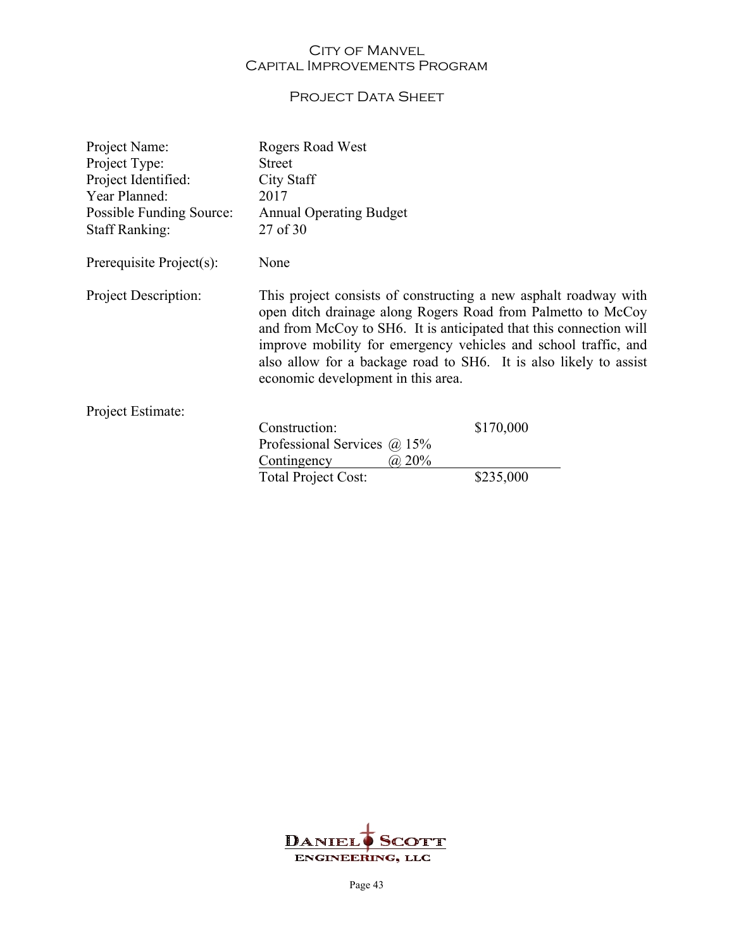## PROJECT DATA SHEET

| This project consists of constructing a new asphalt roadway with<br>open ditch drainage along Rogers Road from Palmetto to McCoy<br>and from McCoy to SH6. It is anticipated that this connection will<br>improve mobility for emergency vehicles and school traffic, and<br>also allow for a backage road to SH6. It is also likely to assist<br>economic development in this area. |  |
|--------------------------------------------------------------------------------------------------------------------------------------------------------------------------------------------------------------------------------------------------------------------------------------------------------------------------------------------------------------------------------------|--|
|                                                                                                                                                                                                                                                                                                                                                                                      |  |
|                                                                                                                                                                                                                                                                                                                                                                                      |  |
|                                                                                                                                                                                                                                                                                                                                                                                      |  |
|                                                                                                                                                                                                                                                                                                                                                                                      |  |
|                                                                                                                                                                                                                                                                                                                                                                                      |  |
|                                                                                                                                                                                                                                                                                                                                                                                      |  |

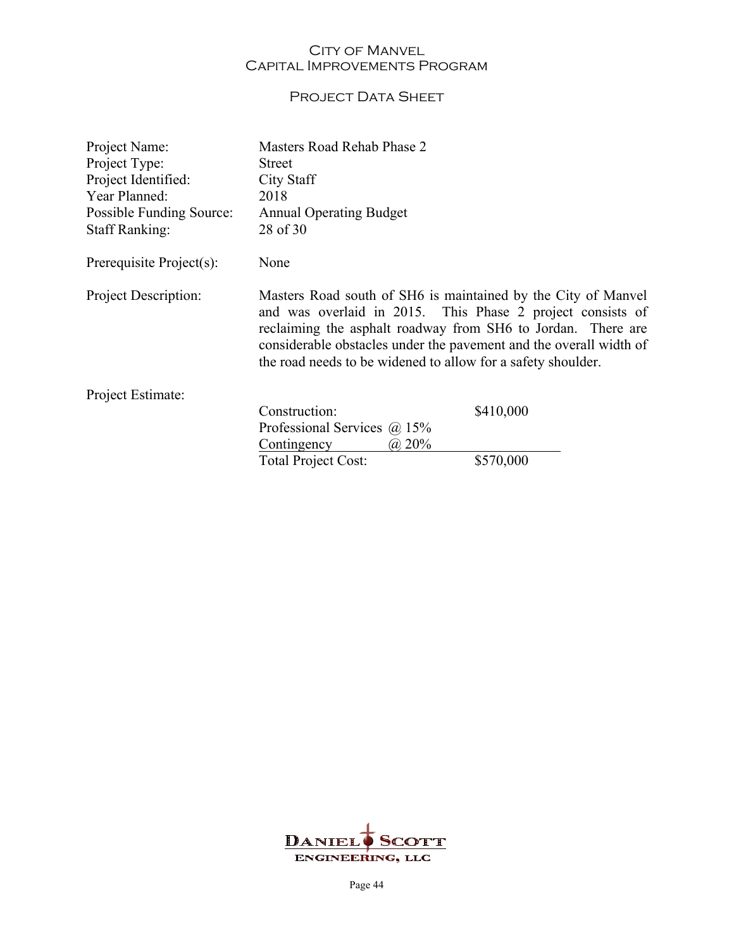## PROJECT DATA SHEET

| Project Name:               | Masters Road Rehab Phase 2                                                                                                                                                                                                                                                                                                        |           |
|-----------------------------|-----------------------------------------------------------------------------------------------------------------------------------------------------------------------------------------------------------------------------------------------------------------------------------------------------------------------------------|-----------|
| Project Type:               | <b>Street</b>                                                                                                                                                                                                                                                                                                                     |           |
| Project Identified:         | City Staff                                                                                                                                                                                                                                                                                                                        |           |
| Year Planned:               | 2018                                                                                                                                                                                                                                                                                                                              |           |
| Possible Funding Source:    | <b>Annual Operating Budget</b>                                                                                                                                                                                                                                                                                                    |           |
| <b>Staff Ranking:</b>       | 28 of 30                                                                                                                                                                                                                                                                                                                          |           |
| Prerequisite Project(s):    | None                                                                                                                                                                                                                                                                                                                              |           |
| <b>Project Description:</b> | Masters Road south of SH6 is maintained by the City of Manvel<br>and was overlaid in 2015. This Phase 2 project consists of<br>reclaiming the asphalt roadway from SH6 to Jordan. There are<br>considerable obstacles under the pavement and the overall width of<br>the road needs to be widened to allow for a safety shoulder. |           |
| Project Estimate:           |                                                                                                                                                                                                                                                                                                                                   |           |
|                             | Construction:                                                                                                                                                                                                                                                                                                                     | \$410,000 |
|                             | Professional Services $(a)$ 15%                                                                                                                                                                                                                                                                                                   |           |
|                             | (a) 20%<br>Contingency                                                                                                                                                                                                                                                                                                            |           |
|                             | <b>Total Project Cost:</b>                                                                                                                                                                                                                                                                                                        | \$570,000 |

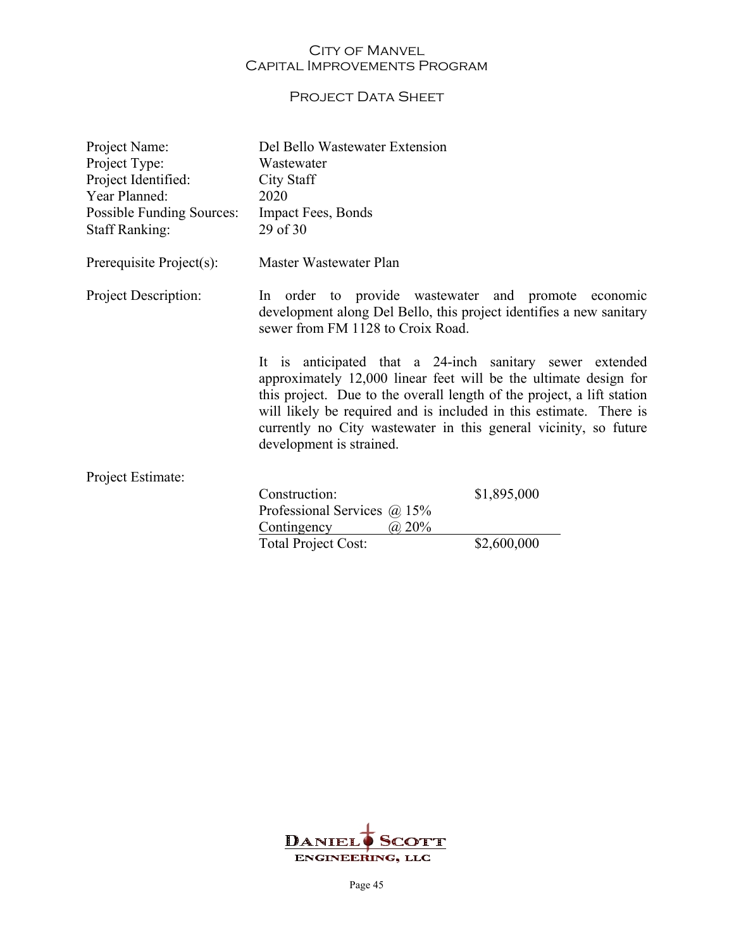## PROJECT DATA SHEET

| Project Name:<br>Project Type:<br>Project Identified:<br>Year Planned:<br><b>Possible Funding Sources:</b> | Del Bello Wastewater Extension<br>Wastewater<br>City Staff<br>2020<br><b>Impact Fees, Bonds</b>                                                                                                                                                                                                                                                                              |             |
|------------------------------------------------------------------------------------------------------------|------------------------------------------------------------------------------------------------------------------------------------------------------------------------------------------------------------------------------------------------------------------------------------------------------------------------------------------------------------------------------|-------------|
| <b>Staff Ranking:</b>                                                                                      | 29 of 30                                                                                                                                                                                                                                                                                                                                                                     |             |
| Prerequisite Project(s):                                                                                   | Master Wastewater Plan                                                                                                                                                                                                                                                                                                                                                       |             |
| Project Description:                                                                                       | In order to provide wastewater and promote economic<br>development along Del Bello, this project identifies a new sanitary<br>sewer from FM 1128 to Croix Road.                                                                                                                                                                                                              |             |
|                                                                                                            | It is anticipated that a 24-inch sanitary sewer extended<br>approximately 12,000 linear feet will be the ultimate design for<br>this project. Due to the overall length of the project, a lift station<br>will likely be required and is included in this estimate. There is<br>currently no City wastewater in this general vicinity, so future<br>development is strained. |             |
| Project Estimate:                                                                                          |                                                                                                                                                                                                                                                                                                                                                                              |             |
|                                                                                                            | Construction:                                                                                                                                                                                                                                                                                                                                                                | \$1,895,000 |
|                                                                                                            | Professional Services $\omega$ 15%<br>Contingency<br>(a) 20%                                                                                                                                                                                                                                                                                                                 |             |
|                                                                                                            | Total Project Cost:                                                                                                                                                                                                                                                                                                                                                          | \$2,600,000 |